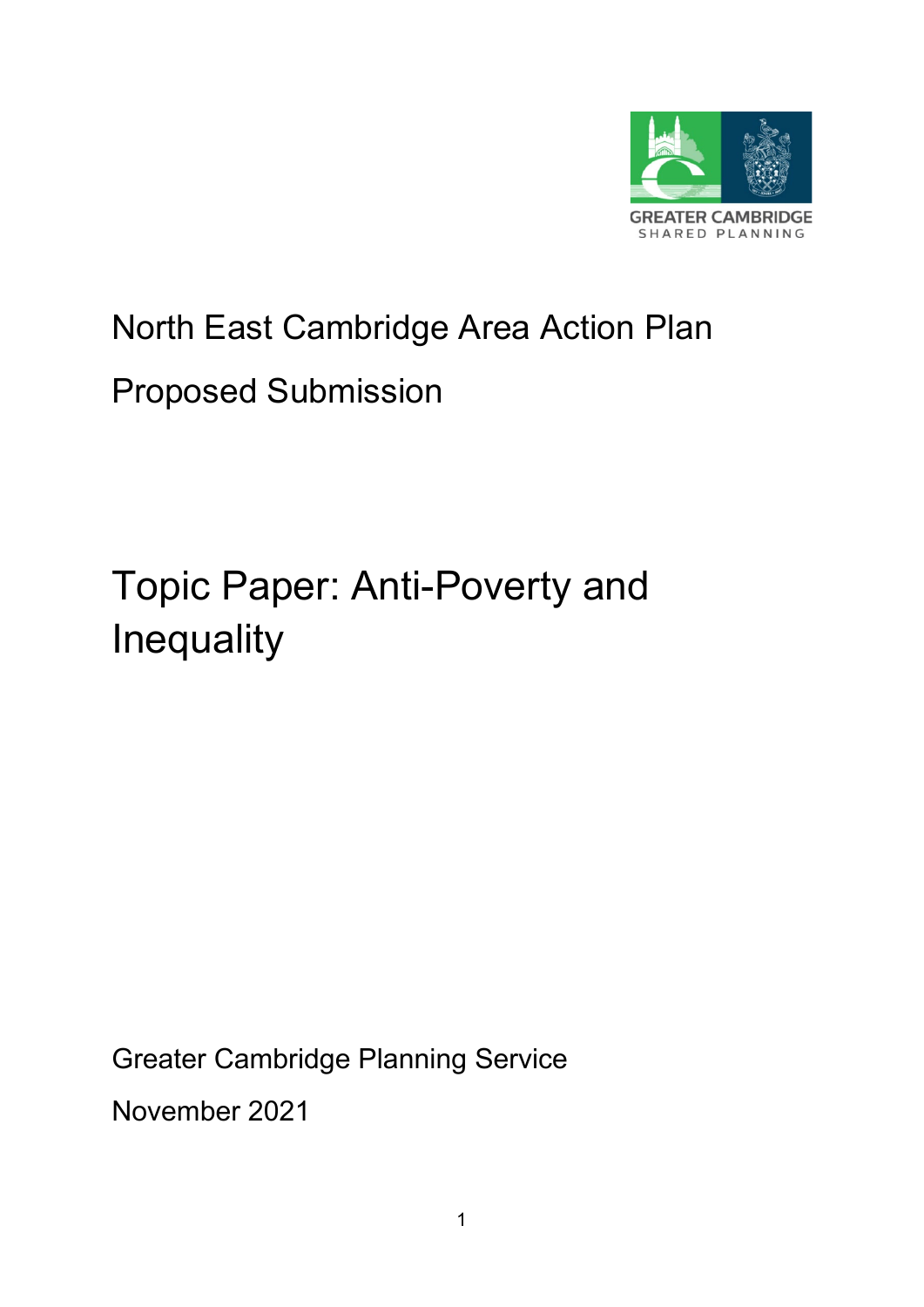

# North East Cambridge Area Action Plan

# Proposed Submission

# Topic Paper: Anti-Poverty and **Inequality**

Greater Cambridge Planning Service

November 2021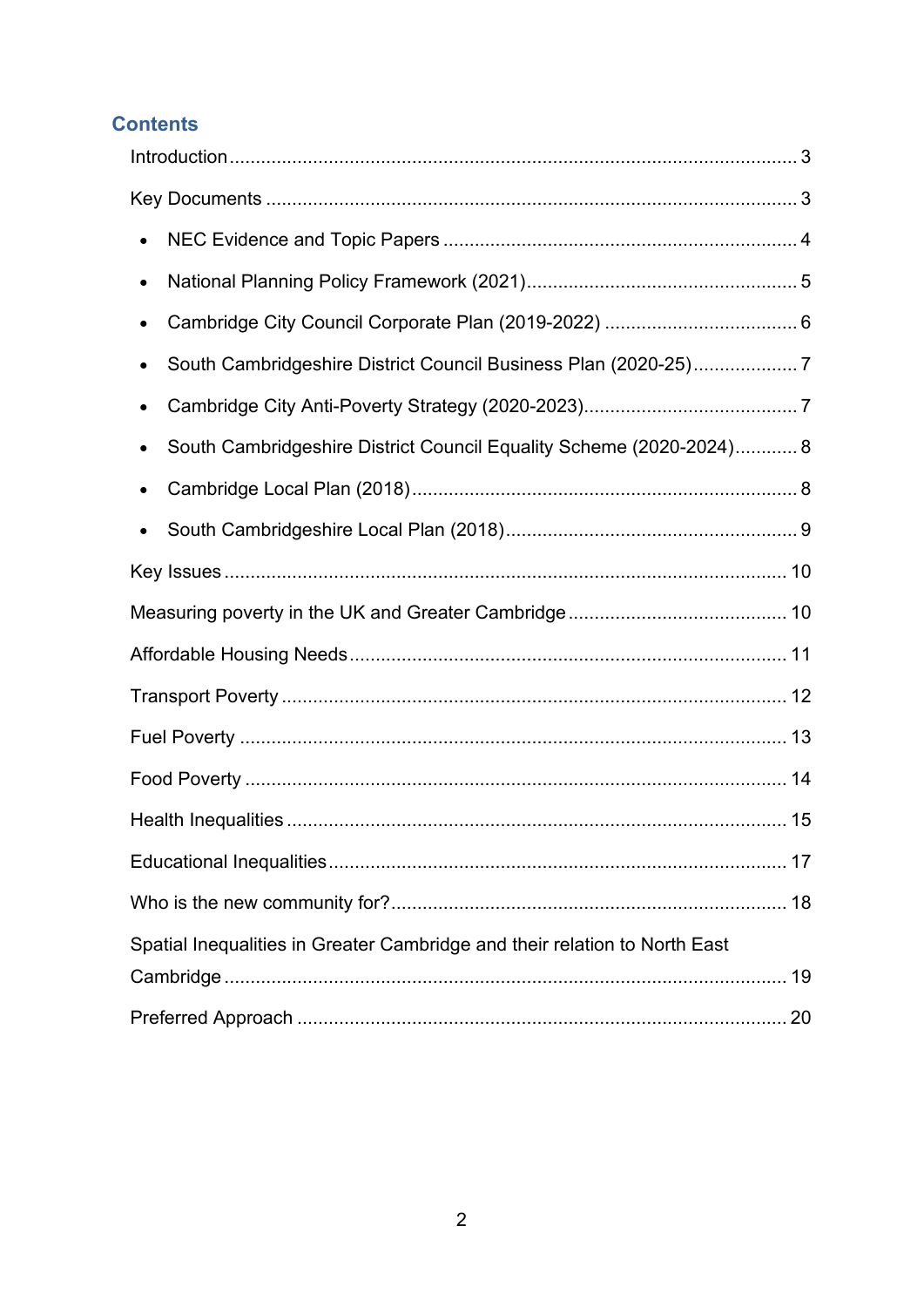# **Contents**

| $\bullet$                                                                        |  |
|----------------------------------------------------------------------------------|--|
|                                                                                  |  |
| South Cambridgeshire District Council Business Plan (2020-25)7                   |  |
|                                                                                  |  |
| South Cambridgeshire District Council Equality Scheme (2020-2024) 8<br>$\bullet$ |  |
|                                                                                  |  |
|                                                                                  |  |
|                                                                                  |  |
|                                                                                  |  |
|                                                                                  |  |
|                                                                                  |  |
|                                                                                  |  |
|                                                                                  |  |
|                                                                                  |  |
|                                                                                  |  |
|                                                                                  |  |
| Spatial Inequalities in Greater Cambridge and their relation to North East       |  |
|                                                                                  |  |
|                                                                                  |  |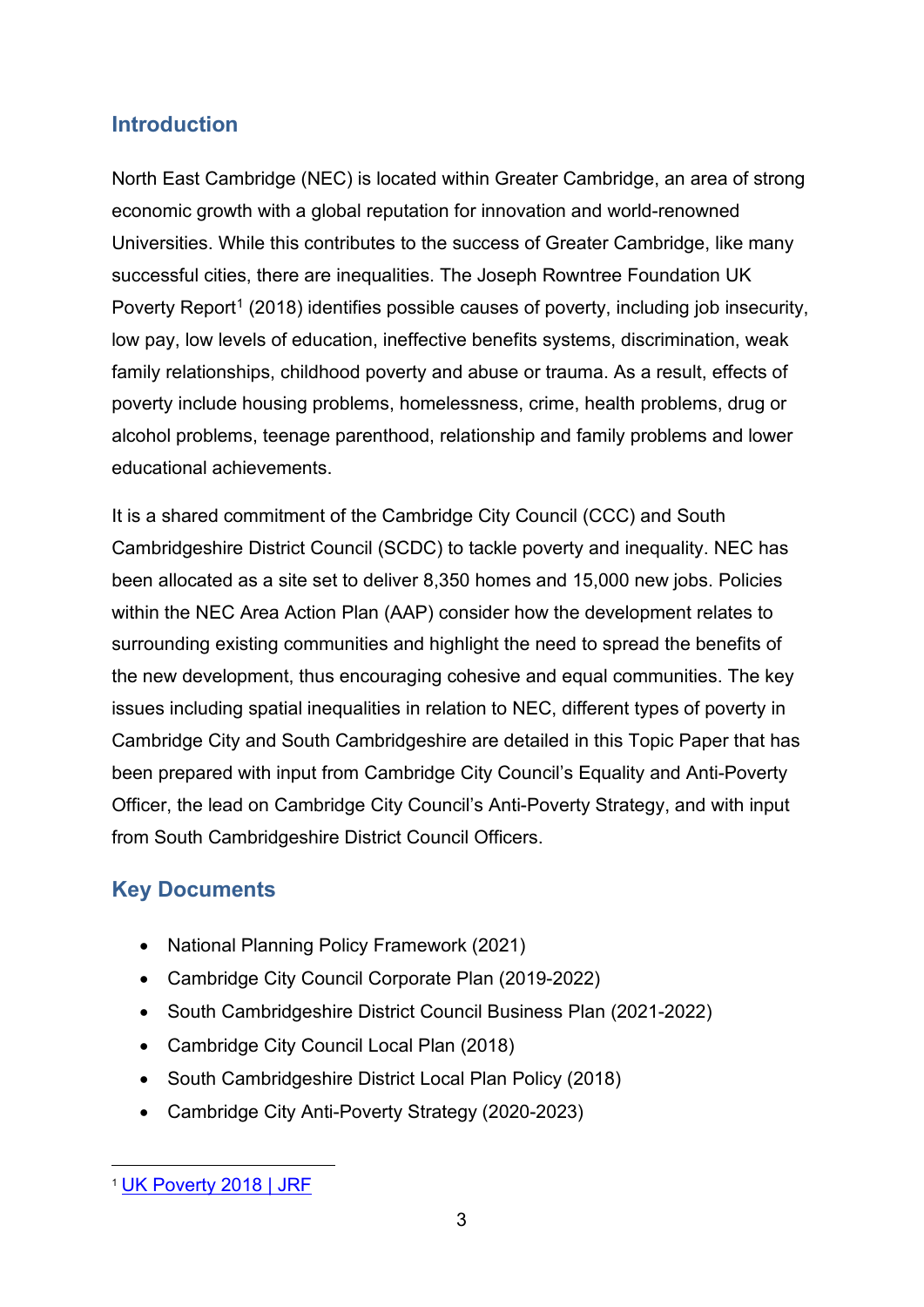# <span id="page-2-0"></span>**Introduction**

North East Cambridge (NEC) is located within Greater Cambridge, an area of strong economic growth with a global reputation for innovation and world-renowned Universities. While this contributes to the success of Greater Cambridge, like many successful cities, there are inequalities. The Joseph Rowntree Foundation UK Poverty Report<sup>[1](#page-2-2)</sup> (2018) identifies possible causes of poverty, including job insecurity, low pay, low levels of education, ineffective benefits systems, discrimination, weak family relationships, childhood poverty and abuse or trauma. As a result, effects of poverty include housing problems, homelessness, crime, health problems, drug or alcohol problems, teenage parenthood, relationship and family problems and lower educational achievements.

It is a shared commitment of the Cambridge City Council (CCC) and South Cambridgeshire District Council (SCDC) to tackle poverty and inequality. NEC has been allocated as a site set to deliver 8,350 homes and 15,000 new jobs. Policies within the NEC Area Action Plan (AAP) consider how the development relates to surrounding existing communities and highlight the need to spread the benefits of the new development, thus encouraging cohesive and equal communities. The key issues including spatial inequalities in relation to NEC, different types of poverty in Cambridge City and South Cambridgeshire are detailed in this Topic Paper that has been prepared with input from Cambridge City Council's Equality and Anti-Poverty Officer, the lead on Cambridge City Council's Anti-Poverty Strategy, and with input from South Cambridgeshire District Council Officers.

# <span id="page-2-1"></span>**Key Documents**

- National Planning Policy Framework (2021)
- Cambridge City Council Corporate Plan (2019-2022)
- South Cambridgeshire District Council Business Plan (2021-2022)
- Cambridge City Council Local Plan (2018)
- South Cambridgeshire District Local Plan Policy (2018)
- Cambridge City Anti-Poverty Strategy (2020-2023)

<span id="page-2-2"></span><sup>1</sup> [UK Poverty 2018 | JRF](https://www.jrf.org.uk/report/uk-poverty-2018)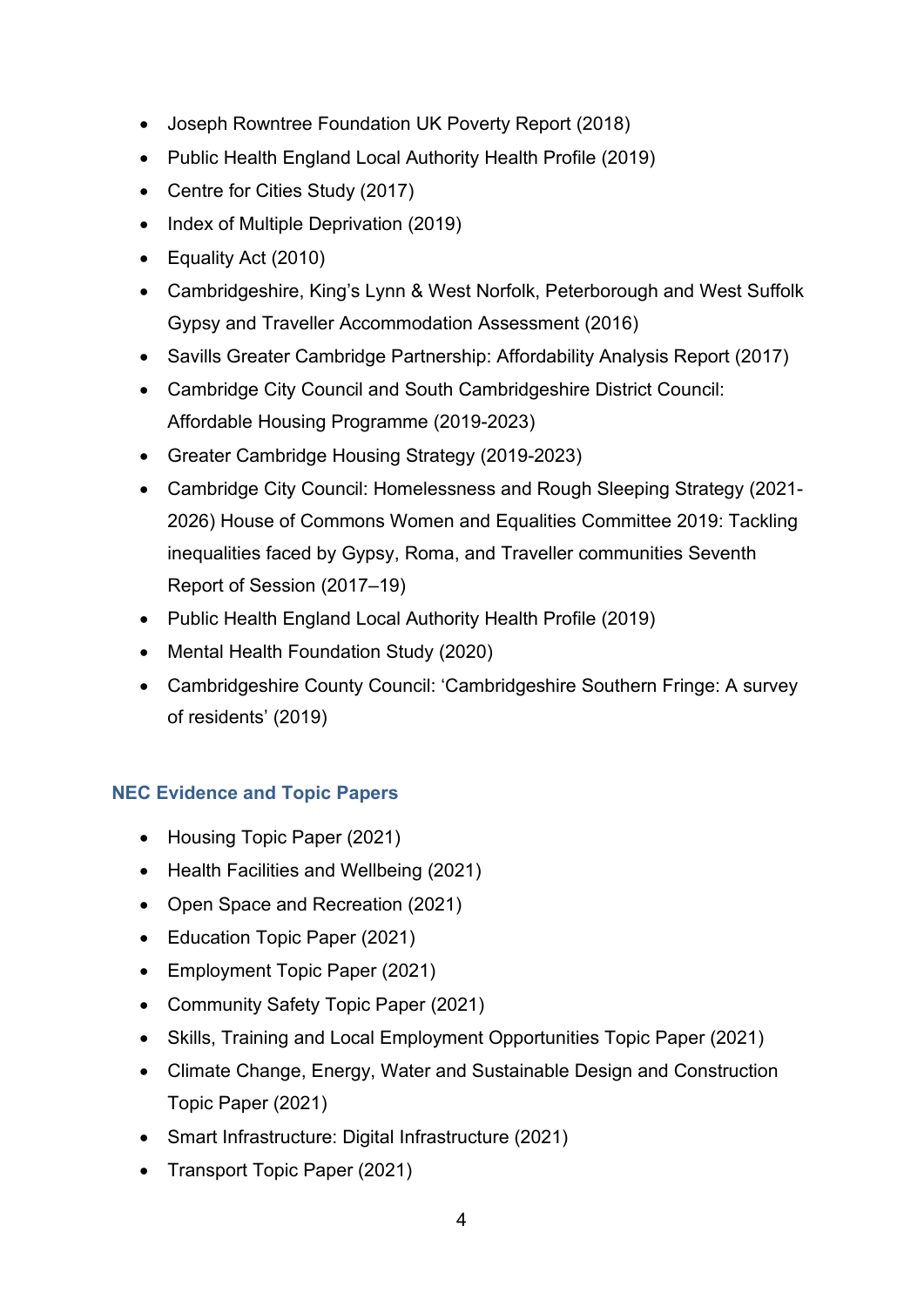- Joseph Rowntree Foundation UK Poverty Report (2018)
- Public Health England Local Authority Health Profile (2019)
- Centre for Cities Study (2017)
- Index of Multiple Deprivation (2019)
- Equality Act (2010)
- Cambridgeshire, King's Lynn & West Norfolk, Peterborough and West Suffolk Gypsy and Traveller Accommodation Assessment (2016)
- Savills Greater Cambridge Partnership: Affordability Analysis Report (2017)
- Cambridge City Council and South Cambridgeshire District Council: Affordable Housing Programme (2019-2023)
- Greater Cambridge Housing Strategy (2019-2023)
- Cambridge City Council: Homelessness and Rough Sleeping Strategy (2021- 2026) House of Commons Women and Equalities Committee 2019: Tackling inequalities faced by Gypsy, Roma, and Traveller communities Seventh Report of Session (2017–19)
- Public Health England Local Authority Health Profile (2019)
- Mental Health Foundation Study (2020)
- [Cambridgeshire County Council: 'Cambridgeshire Southern Fringe: A survey](https://cambridgeshireinsight.org.uk/wp-content/uploads/2019/07/Southern-Fringe-Survey-Report-FINAL.pdf)  [of residents' \(2019\)](https://cambridgeshireinsight.org.uk/wp-content/uploads/2019/07/Southern-Fringe-Survey-Report-FINAL.pdf)

#### <span id="page-3-0"></span>**NEC Evidence and Topic Papers**

- Housing Topic Paper (2021)
- Health Facilities and Wellbeing (2021)
- Open Space and Recreation (2021)
- Education Topic Paper (2021)
- Employment Topic Paper (2021)
- Community Safety Topic Paper (2021)
- Skills, Training and Local Employment Opportunities Topic Paper (2021)
- Climate Change, Energy, Water and Sustainable Design and Construction Topic Paper (2021)
- Smart Infrastructure: Digital Infrastructure (2021)
- Transport Topic Paper (2021)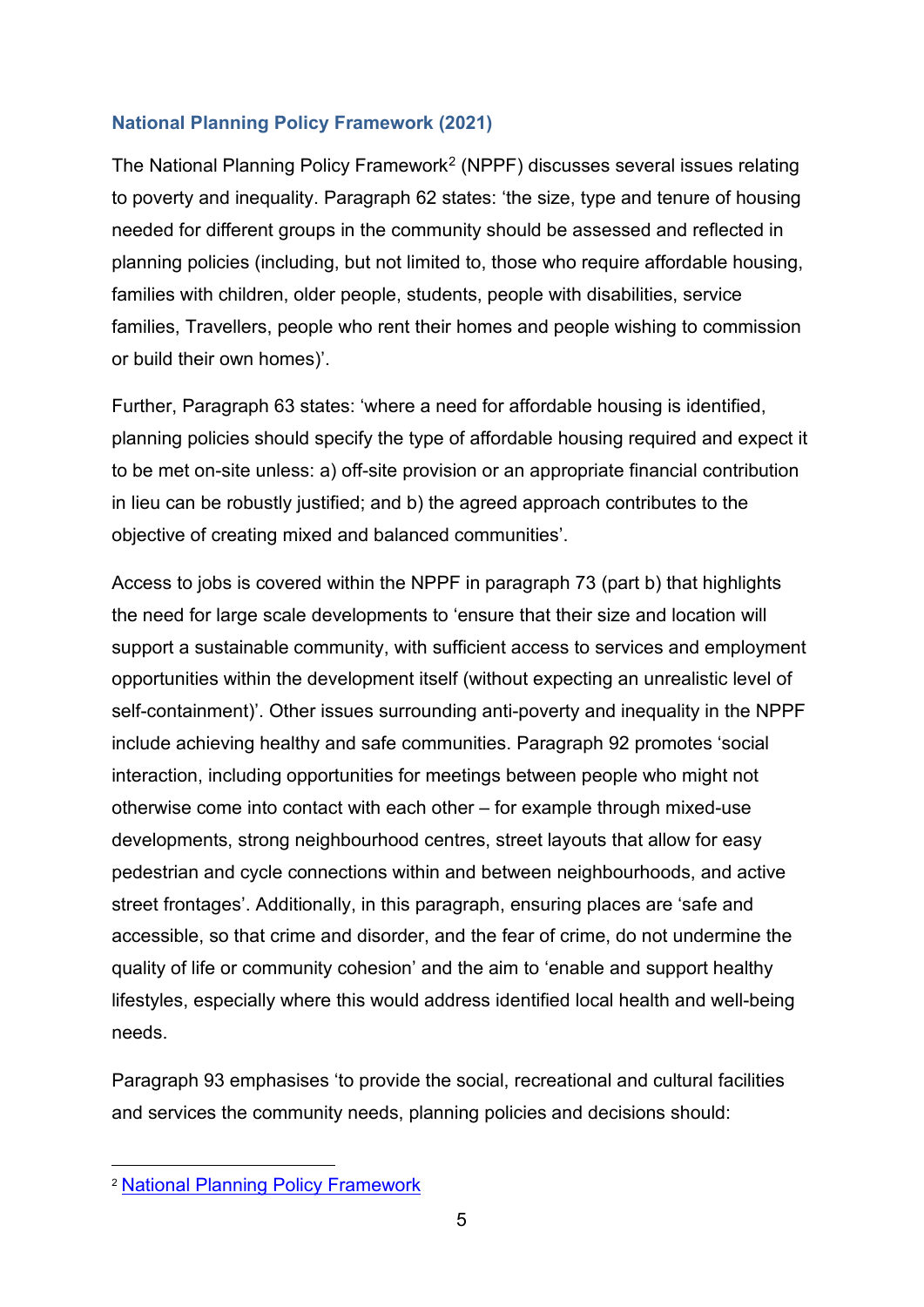#### <span id="page-4-0"></span>**National Planning Policy Framework (2021)**

The National Planning Policy Framework<sup>[2](#page-4-1)</sup> (NPPF) discusses several issues relating to poverty and inequality. Paragraph 62 states: 'the size, type and tenure of housing needed for different groups in the community should be assessed and reflected in planning policies (including, but not limited to, those who require affordable housing, families with children, older people, students, people with disabilities, service families, Travellers, people who rent their homes and people wishing to commission or build their own homes)'.

Further, Paragraph 63 states: 'where a need for affordable housing is identified, planning policies should specify the type of affordable housing required and expect it to be met on-site unless: a) off-site provision or an appropriate financial contribution in lieu can be robustly justified; and b) the agreed approach contributes to the objective of creating mixed and balanced communities'.

Access to jobs is covered within the NPPF in paragraph 73 (part b) that highlights the need for large scale developments to 'ensure that their size and location will support a sustainable community, with sufficient access to services and employment opportunities within the development itself (without expecting an unrealistic level of self-containment)'. Other issues surrounding anti-poverty and inequality in the NPPF include achieving healthy and safe communities. Paragraph 92 promotes 'social interaction, including opportunities for meetings between people who might not otherwise come into contact with each other – for example through mixed-use developments, strong neighbourhood centres, street layouts that allow for easy pedestrian and cycle connections within and between neighbourhoods, and active street frontages'. Additionally, in this paragraph, ensuring places are 'safe and accessible, so that crime and disorder, and the fear of crime, do not undermine the quality of life or community cohesion' and the aim to 'enable and support healthy lifestyles, especially where this would address identified local health and well-being needs.

Paragraph 93 emphasises 'to provide the social, recreational and cultural facilities and services the community needs, planning policies and decisions should:

<span id="page-4-1"></span><sup>2</sup> [National Planning Policy Framework](https://www.gov.uk/government/publications/national-planning-policy-framework--2)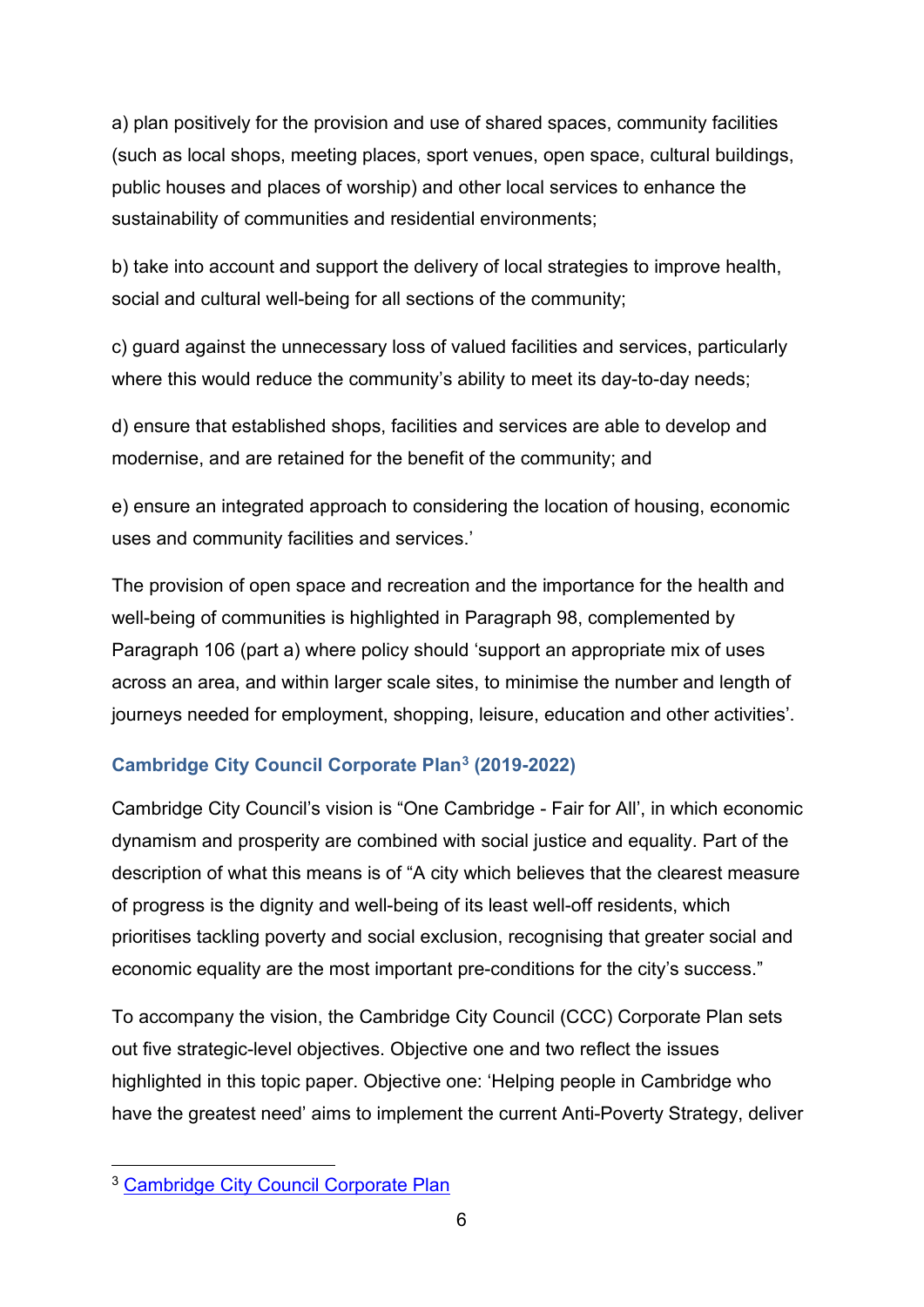a) plan positively for the provision and use of shared spaces, community facilities (such as local shops, meeting places, sport venues, open space, cultural buildings, public houses and places of worship) and other local services to enhance the sustainability of communities and residential environments;

b) take into account and support the delivery of local strategies to improve health, social and cultural well-being for all sections of the community;

c) guard against the unnecessary loss of valued facilities and services, particularly where this would reduce the community's ability to meet its day-to-day needs;

d) ensure that established shops, facilities and services are able to develop and modernise, and are retained for the benefit of the community; and

e) ensure an integrated approach to considering the location of housing, economic uses and community facilities and services.'

The provision of open space and recreation and the importance for the health and well-being of communities is highlighted in Paragraph 98, complemented by Paragraph 106 (part a) where policy should 'support an appropriate mix of uses across an area, and within larger scale sites, to minimise the number and length of journeys needed for employment, shopping, leisure, education and other activities'.

#### <span id="page-5-0"></span>**Cambridge City Council Corporate Plan[3](#page-5-1) (2019-2022)**

Cambridge City Council's vision is "One Cambridge - Fair for All', in which economic dynamism and prosperity are combined with social justice and equality. Part of the description of what this means is of "A city which believes that the clearest measure of progress is the dignity and well-being of its least well-off residents, which prioritises tackling poverty and social exclusion, recognising that greater social and economic equality are the most important pre-conditions for the city's success."

To accompany the vision, the Cambridge City Council (CCC) Corporate Plan sets out five strategic-level objectives. Objective one and two reflect the issues highlighted in this topic paper. Objective one: 'Helping people in Cambridge who have the greatest need' aims to implement the current Anti-Poverty Strategy, deliver

<span id="page-5-1"></span><sup>3</sup> [Cambridge City Council Corporate Plan](https://www.cambridge.gov.uk/media/7005/corporate-plan-2019-22.pdf)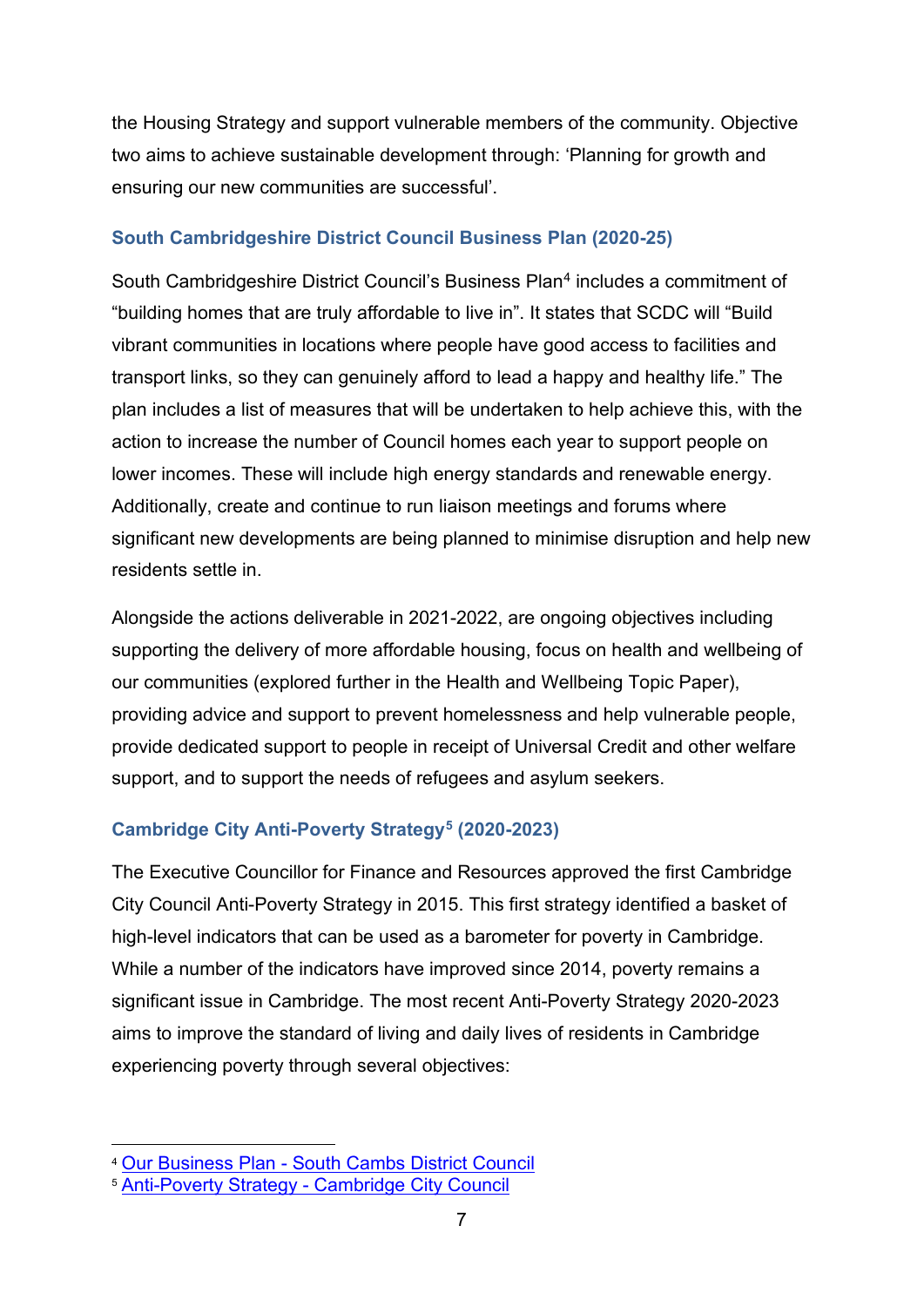the Housing Strategy and support vulnerable members of the community. Objective two aims to achieve sustainable development through: 'Planning for growth and ensuring our new communities are successful'.

#### <span id="page-6-0"></span>**South Cambridgeshire District Council Business Plan (2020-25)**

South Cambridgeshire District Council's Business Plan[4](#page-6-2) includes a commitment of "building homes that are truly affordable to live in". It states that SCDC will "Build vibrant communities in locations where people have good access to facilities and transport links, so they can genuinely afford to lead a happy and healthy life." The plan includes a list of measures that will be undertaken to help achieve this, with the action to increase the number of Council homes each year to support people on lower incomes. These will include high energy standards and renewable energy. Additionally, create and continue to run liaison meetings and forums where significant new developments are being planned to minimise disruption and help new residents settle in.

Alongside the actions deliverable in 2021-2022, are ongoing objectives including supporting the delivery of more affordable housing, focus on health and wellbeing of our communities (explored further in the Health and Wellbeing Topic Paper), providing advice and support to prevent homelessness and help vulnerable people, provide dedicated support to people in receipt of Universal Credit and other welfare support, and to support the needs of refugees and asylum seekers.

#### <span id="page-6-1"></span>**Cambridge City Anti-Poverty Strategy[5](#page-6-3) (2020-2023)**

The Executive Councillor for Finance and Resources approved the first Cambridge City Council Anti-Poverty Strategy in 2015. This first strategy identified a basket of high-level indicators that can be used as a barometer for poverty in Cambridge. While a number of the indicators have improved since 2014, poverty remains a significant issue in Cambridge. The most recent Anti-Poverty Strategy 2020-2023 aims to improve the standard of living and daily lives of residents in Cambridge experiencing poverty through several objectives:

<span id="page-6-2"></span><sup>4</sup> Our Business Plan - [South Cambs District Council](https://www.scambs.gov.uk/your-council-and-democracy/performance-and-plans/our-business-plan/)

<span id="page-6-3"></span><sup>5</sup> Anti-Poverty Strategy - [Cambridge City Council](https://www.cambridge.gov.uk/anti-poverty-strategy)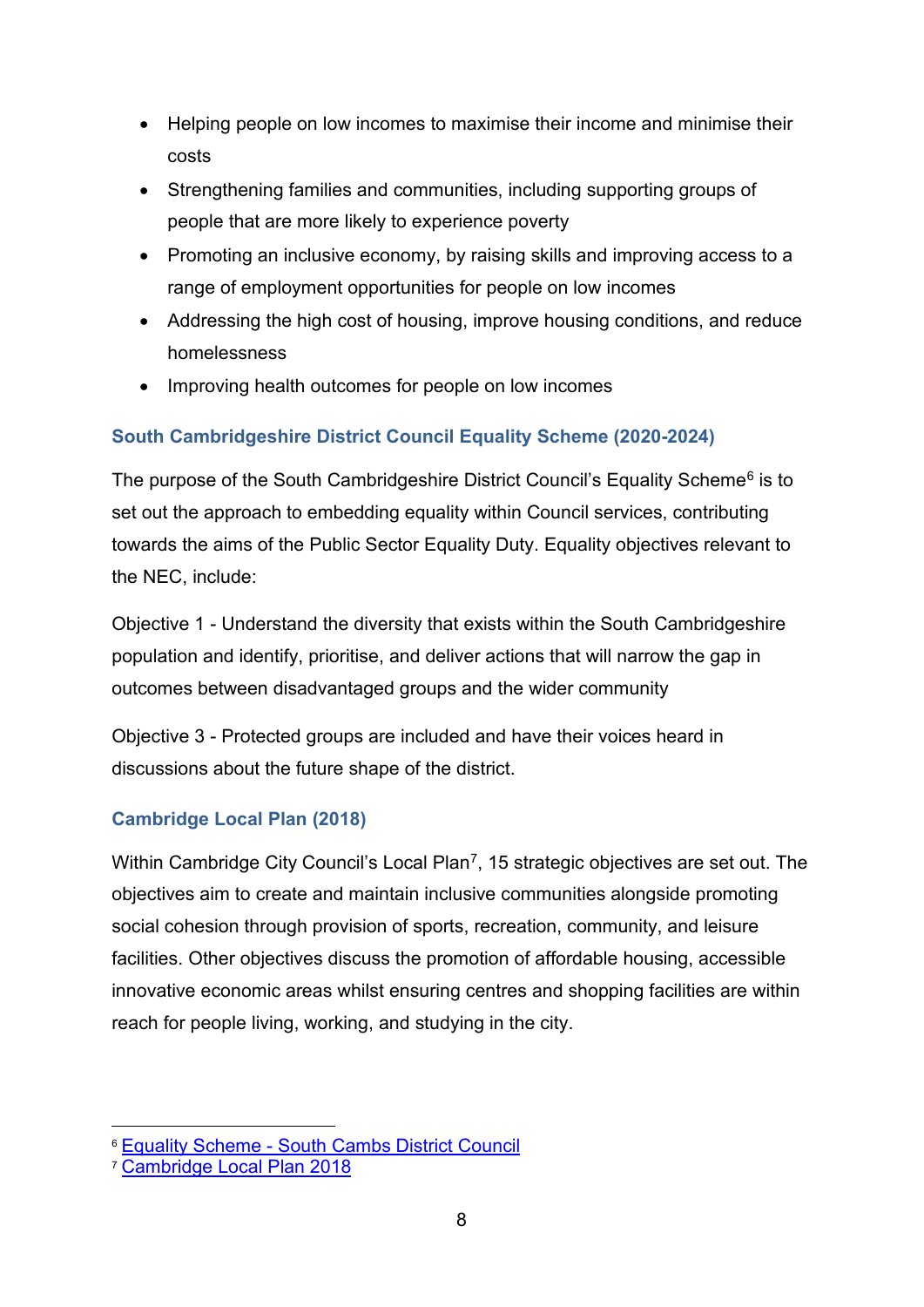- Helping people on low incomes to maximise their income and minimise their costs
- Strengthening families and communities, including supporting groups of people that are more likely to experience poverty
- Promoting an inclusive economy, by raising skills and improving access to a range of employment opportunities for people on low incomes
- Addressing the high cost of housing, improve housing conditions, and reduce homelessness
- Improving health outcomes for people on low incomes

#### <span id="page-7-0"></span>**South Cambridgeshire District Council Equality Scheme (2020-2024)**

The purpose of the South Cambridgeshire District Council's Equality Scheme<sup>6</sup> is to set out the approach to embedding equality within Council services, contributing towards the aims of the Public Sector Equality Duty. Equality objectives relevant to the NEC, include:

Objective 1 - Understand the diversity that exists within the South Cambridgeshire population and identify, prioritise, and deliver actions that will narrow the gap in outcomes between disadvantaged groups and the wider community

Objective 3 - Protected groups are included and have their voices heard in discussions about the future shape of the district.

#### <span id="page-7-1"></span>**Cambridge Local Plan (2018)**

Within Cambridge City Council's Local Plan<sup>7</sup>, 15 strategic objectives are set out. The objectives aim to create and maintain inclusive communities alongside promoting social cohesion through provision of sports, recreation, community, and leisure facilities. Other objectives discuss the promotion of affordable housing, accessible innovative economic areas whilst ensuring centres and shopping facilities are within reach for people living, working, and studying in the city.

<span id="page-7-2"></span><sup>6</sup> Equality Scheme - [South Cambs District Council](https://www.scambs.gov.uk/your-council-and-democracy/equality-and-diversity/equality-scheme/)

<span id="page-7-3"></span><sup>7</sup> [Cambridge Local Plan 2018](https://www.cambridge.gov.uk/media/6890/local-plan-2018.pdf)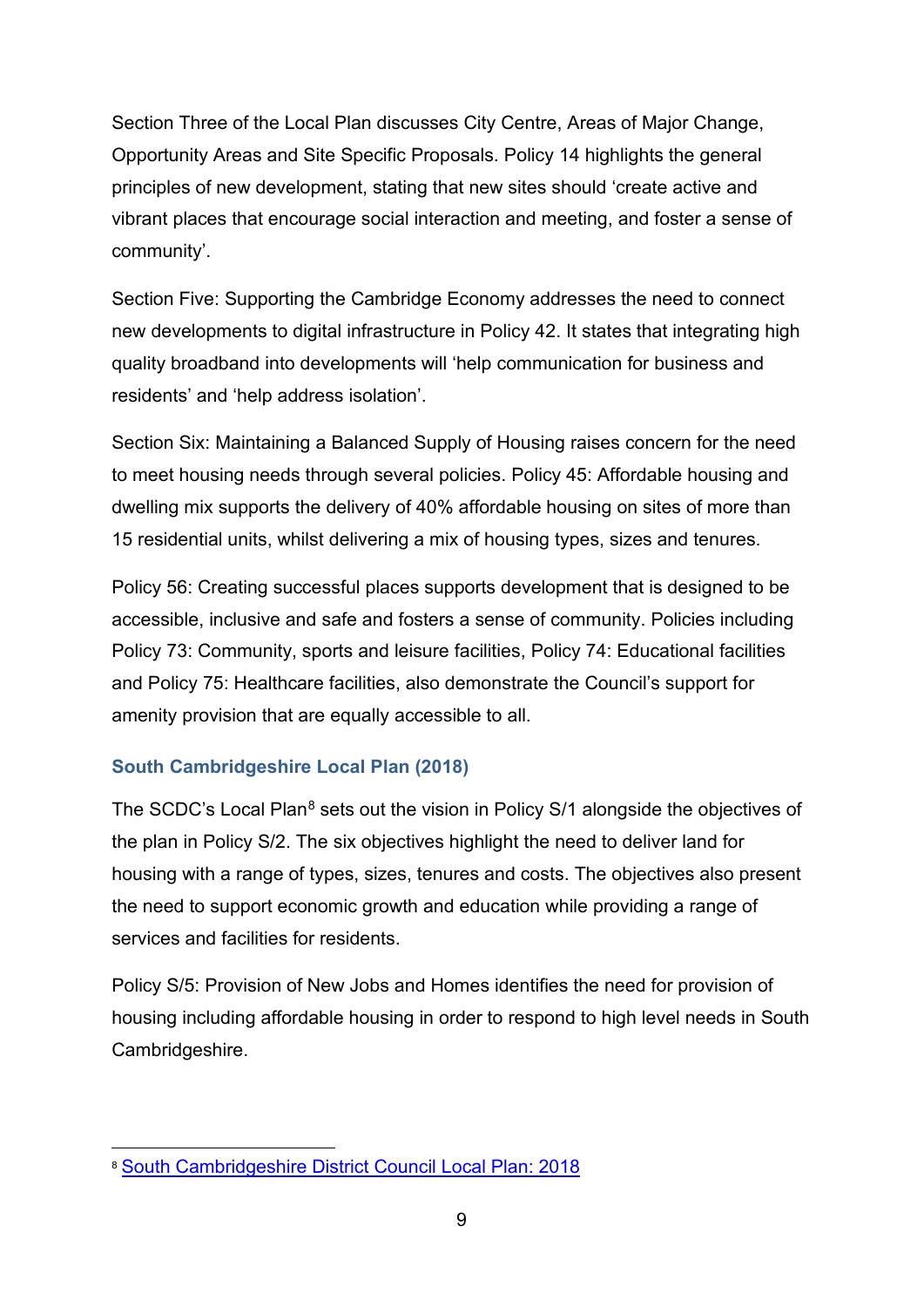Section Three of the Local Plan discusses City Centre, Areas of Major Change, Opportunity Areas and Site Specific Proposals. Policy 14 highlights the general principles of new development, stating that new sites should 'create active and vibrant places that encourage social interaction and meeting, and foster a sense of community'.

Section Five: Supporting the Cambridge Economy addresses the need to connect new developments to digital infrastructure in Policy 42. It states that integrating high quality broadband into developments will 'help communication for business and residents' and 'help address isolation'.

Section Six: Maintaining a Balanced Supply of Housing raises concern for the need to meet housing needs through several policies. Policy 45: Affordable housing and dwelling mix supports the delivery of 40% affordable housing on sites of more than 15 residential units, whilst delivering a mix of housing types, sizes and tenures.

Policy 56: Creating successful places supports development that is designed to be accessible, inclusive and safe and fosters a sense of community. Policies including Policy 73: Community, sports and leisure facilities, Policy 74: Educational facilities and Policy 75: Healthcare facilities, also demonstrate the Council's support for amenity provision that are equally accessible to all.

#### <span id="page-8-0"></span>**South Cambridgeshire Local Plan (2018)**

The SCDC's Local Plan<sup>[8](#page-8-1)</sup> sets out the vision in Policy S/1 alongside the objectives of the plan in Policy S/2. The six objectives highlight the need to deliver land for housing with a range of types, sizes, tenures and costs. The objectives also present the need to support economic growth and education while providing a range of services and facilities for residents.

Policy S/5: Provision of New Jobs and Homes identifies the need for provision of housing including affordable housing in order to respond to high level needs in South Cambridgeshire.

<span id="page-8-1"></span><sup>8</sup> [South Cambridgeshire District Council Local Plan: 2018](https://www.scambs.gov.uk/media/12740/south-cambridgeshire-adopted-local-plan-270918_sml.pdf)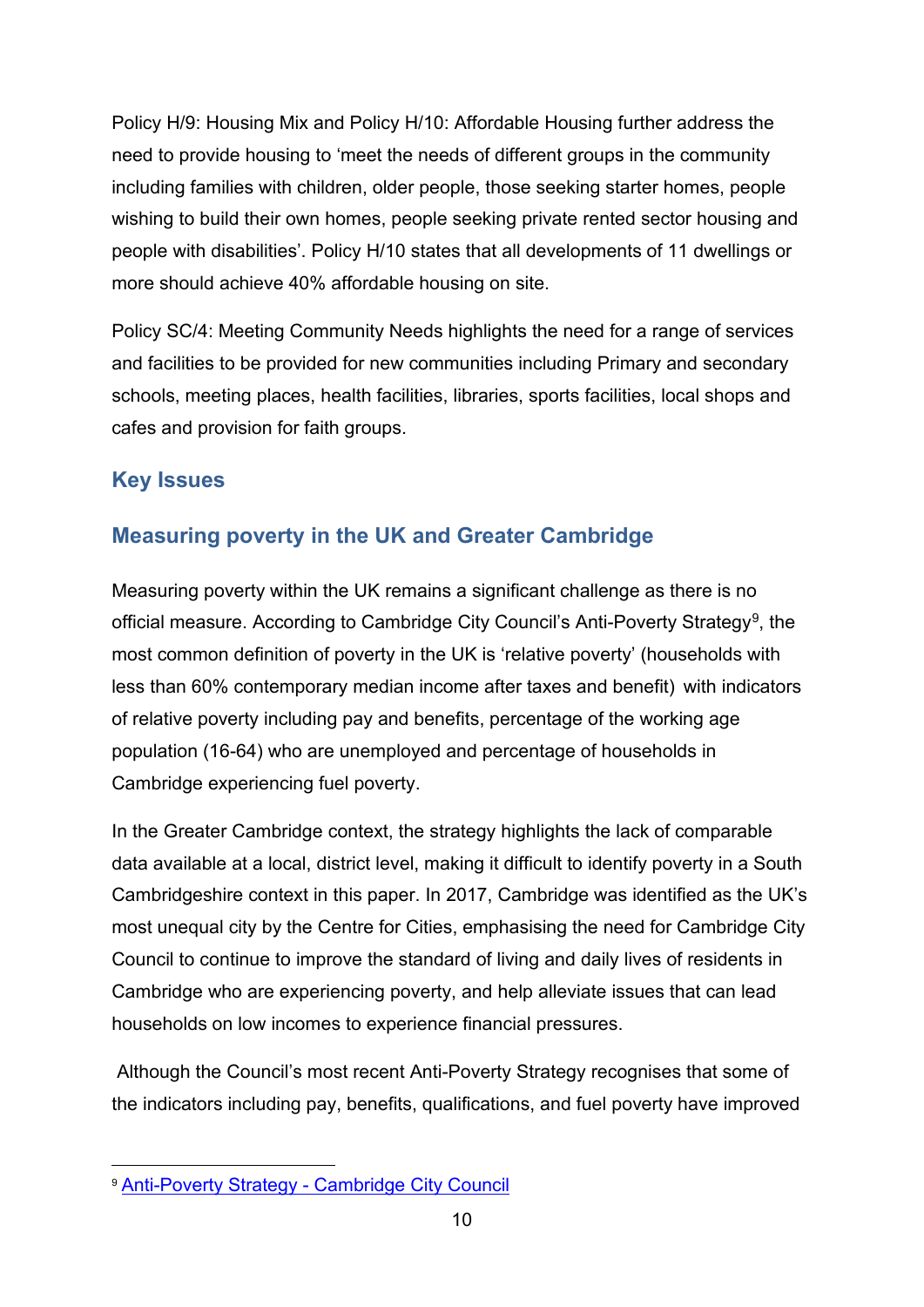Policy H/9: Housing Mix and Policy H/10: Affordable Housing further address the need to provide housing to 'meet the needs of different groups in the community including families with children, older people, those seeking starter homes, people wishing to build their own homes, people seeking private rented sector housing and people with disabilities'. Policy H/10 states that all developments of 11 dwellings or more should achieve 40% affordable housing on site.

Policy SC/4: Meeting Community Needs highlights the need for a range of services and facilities to be provided for new communities including Primary and secondary schools, meeting places, health facilities, libraries, sports facilities, local shops and cafes and provision for faith groups.

# <span id="page-9-0"></span>**Key Issues**

# <span id="page-9-1"></span>**Measuring poverty in the UK and Greater Cambridge**

Measuring poverty within the UK remains a significant challenge as there is no official measure. According to Cambridge City Council's Anti-Poverty Strategy<sup>[9](#page-9-2)</sup>, the most common definition of poverty in the UK is 'relative poverty' (households with less than 60% contemporary median income after taxes and benefit) with indicators of relative poverty including pay and benefits, percentage of the working age population (16-64) who are unemployed and percentage of households in Cambridge experiencing fuel poverty.

In the Greater Cambridge context, the strategy highlights the lack of comparable data available at a local, district level, making it difficult to identify poverty in a South Cambridgeshire context in this paper. In 2017, Cambridge was identified as the UK's most unequal city by the Centre for Cities, emphasising the need for Cambridge City Council to continue to improve the standard of living and daily lives of residents in Cambridge who are experiencing poverty, and help alleviate issues that can lead households on low incomes to experience financial pressures.

Although the Council's most recent Anti-Poverty Strategy recognises that some of the indicators including pay, benefits, qualifications, and fuel poverty have improved

<span id="page-9-2"></span><sup>9</sup> Anti-Poverty Strategy - [Cambridge City Council](https://www.cambridge.gov.uk/anti-poverty-strategy)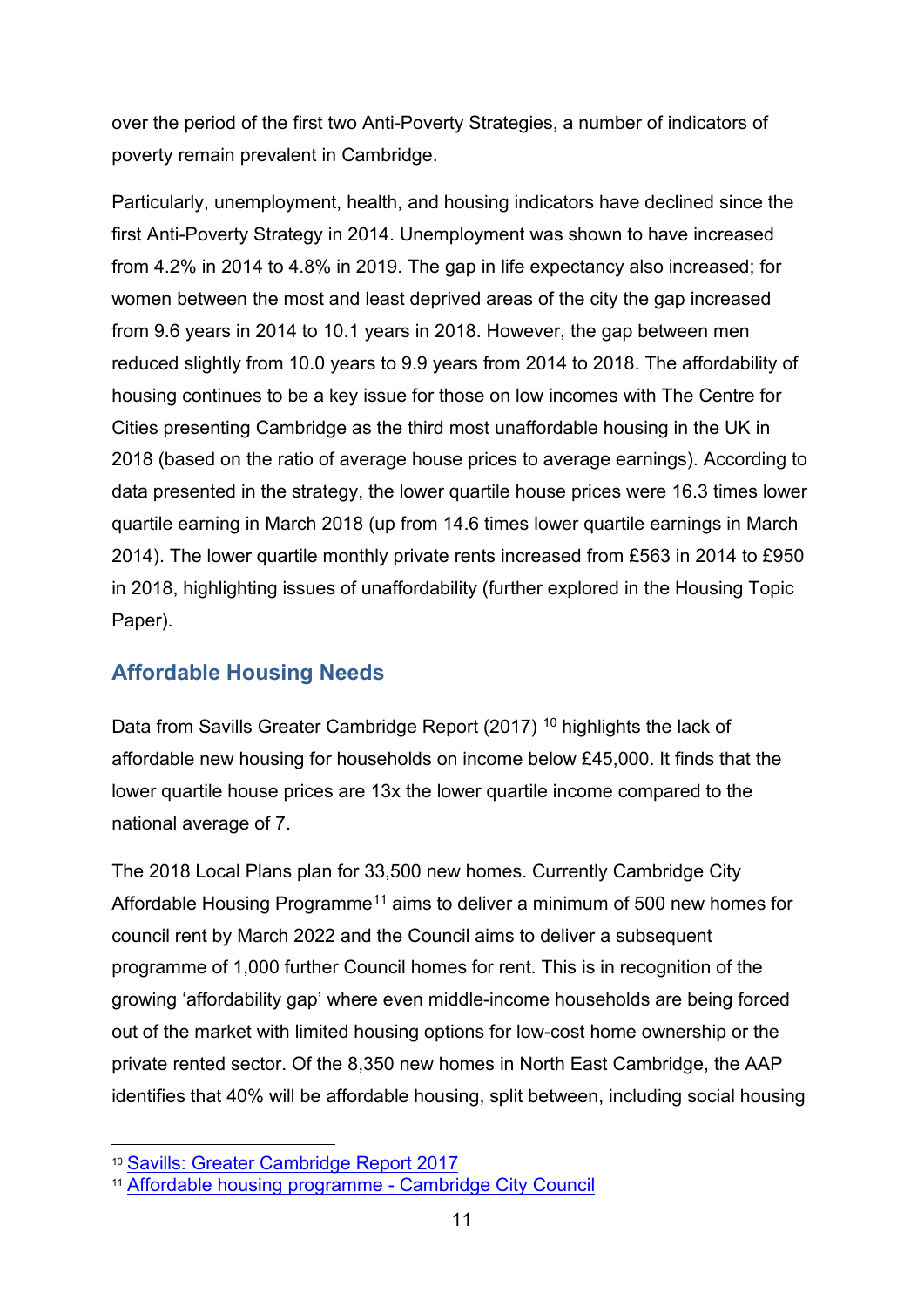over the period of the first two Anti-Poverty Strategies, a number of indicators of poverty remain prevalent in Cambridge.

Particularly, unemployment, health, and housing indicators have declined since the first Anti-Poverty Strategy in 2014. Unemployment was shown to have increased from 4.2% in 2014 to 4.8% in 2019. The gap in life expectancy also increased; for women between the most and least deprived areas of the city the gap increased from 9.6 years in 2014 to 10.1 years in 2018. However, the gap between men reduced slightly from 10.0 years to 9.9 years from 2014 to 2018. The affordability of housing continues to be a key issue for those on low incomes with The Centre for Cities presenting Cambridge as the third most unaffordable housing in the UK in 2018 (based on the ratio of average house prices to average earnings). According to data presented in the strategy, the lower quartile house prices were 16.3 times lower quartile earning in March 2018 (up from 14.6 times lower quartile earnings in March 2014). The lower quartile monthly private rents increased from £563 in 2014 to £950 in 2018, highlighting issues of unaffordability (further explored in the Housing Topic Paper).

# <span id="page-10-0"></span>**Affordable Housing Needs**

Data from Savills Greater Cambridge Report (2017)<sup>[10](#page-10-1)</sup> highlights the lack of affordable new housing for households on income below £45,000. It finds that the lower quartile house prices are 13x the lower quartile income compared to the national average of 7.

The 2018 Local Plans plan for 33,500 new homes. Currently Cambridge City Affordable Housing Programme<sup>[11](#page-10-2)</sup> aims to deliver a minimum of 500 new homes for council rent by March 2022 and the Council aims to deliver a subsequent programme of 1,000 further Council homes for rent. This is in recognition of the growing 'affordability gap' where even middle-income households are being forced out of the market with limited housing options for low-cost home ownership or the private rented sector. Of the 8,350 new homes in North East Cambridge, the AAP identifies that 40% will be affordable housing, split between, including social housing

<span id="page-10-1"></span><sup>10</sup> [Savills: Greater Cambridge Report](https://cambridgeshireinsight.org.uk/wp-content/uploads/2018/05/savills-greater-cambridge-report-june-2017.pdf) 2017

<span id="page-10-2"></span><sup>11</sup> [Affordable housing programme -](https://www.cambridge.gov.uk/affordable-housing-programme#:%7E:text=Cambridge%20is%20a%20growing%20city,in%20the%20local%20plan%202018).&text=To%20accomplish%20this%2C%20we%20plan,homes%20in%20Cambridge%20by%202022.) Cambridge City Council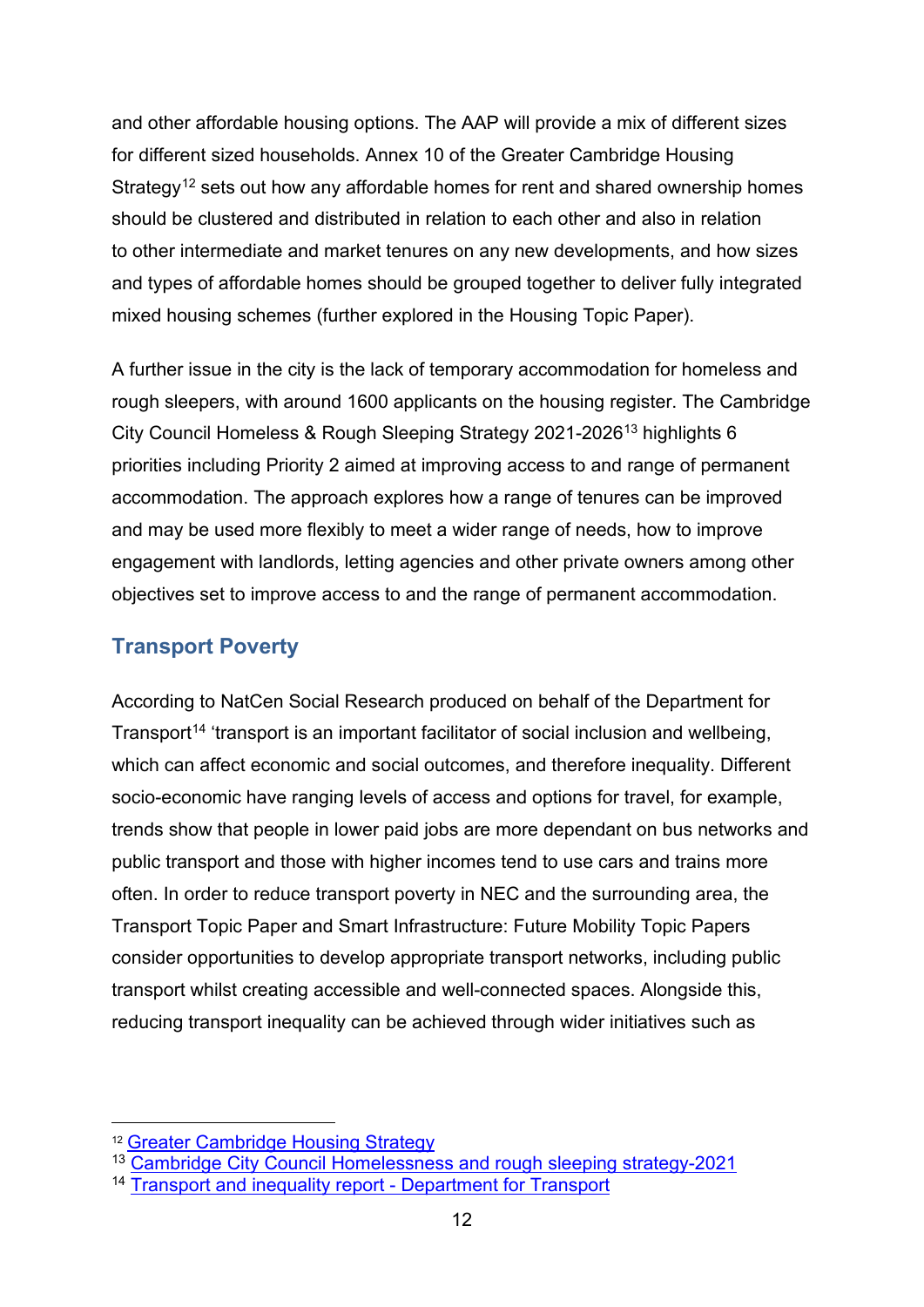and other affordable housing options. The AAP will provide a mix of different sizes for different sized households. Annex 10 of the Greater Cambridge Housing Strategy<sup>[12](#page-11-1)</sup> sets out how any affordable homes for rent and shared ownership homes should be clustered and distributed in relation to each other and also in relation to other intermediate and market tenures on any new developments, and how sizes and types of affordable homes should be grouped together to deliver fully integrated mixed housing schemes (further explored in the Housing Topic Paper).

A further issue in the city is the lack of temporary accommodation for homeless and rough sleepers, with around 1600 applicants on the housing register. The Cambridge City Council Homeless & Rough Sleeping Strategy 2021-2026[13](#page-11-2) highlights 6 priorities including Priority 2 aimed at improving access to and range of permanent accommodation. The approach explores how a range of tenures can be improved and may be used more flexibly to meet a wider range of needs, how to improve engagement with landlords, letting agencies and other private owners among other objectives set to improve access to and the range of permanent accommodation.

## <span id="page-11-0"></span>**Transport Poverty**

According to NatCen Social Research produced on behalf of the Department for Transport<sup>[14](#page-11-3)</sup> 'transport is an important facilitator of social inclusion and wellbeing, which can affect economic and social outcomes, and therefore inequality. Different socio-economic have ranging levels of access and options for travel, for example, trends show that people in lower paid jobs are more dependant on bus networks and public transport and those with higher incomes tend to use cars and trains more often. In order to reduce transport poverty in NEC and the surrounding area, the Transport Topic Paper and Smart Infrastructure: Future Mobility Topic Papers consider opportunities to develop appropriate transport networks, including public transport whilst creating accessible and well-connected spaces. Alongside this, reducing transport inequality can be achieved through wider initiatives such as

<span id="page-11-1"></span><sup>12</sup> [Greater Cambridge Housing Strategy](https://www.scambs.gov.uk/media/16553/greater-cambridge-housing-strategy-2019-2023.pdf)

<span id="page-11-2"></span><sup>13</sup> [Cambridge City Council Homelessness and rough sleeping strategy-2021](https://www.cambridge.gov.uk/media/9099/homelessness-and-rough-sleeping-strategy-2021-26.pdf)

<span id="page-11-3"></span><sup>14</sup> [Transport and inequality report -](https://assets.publishing.service.gov.uk/government/uploads/system/uploads/attachment_data/file/953951/Transport_and_inequality_report_document.pdf) Department for Transport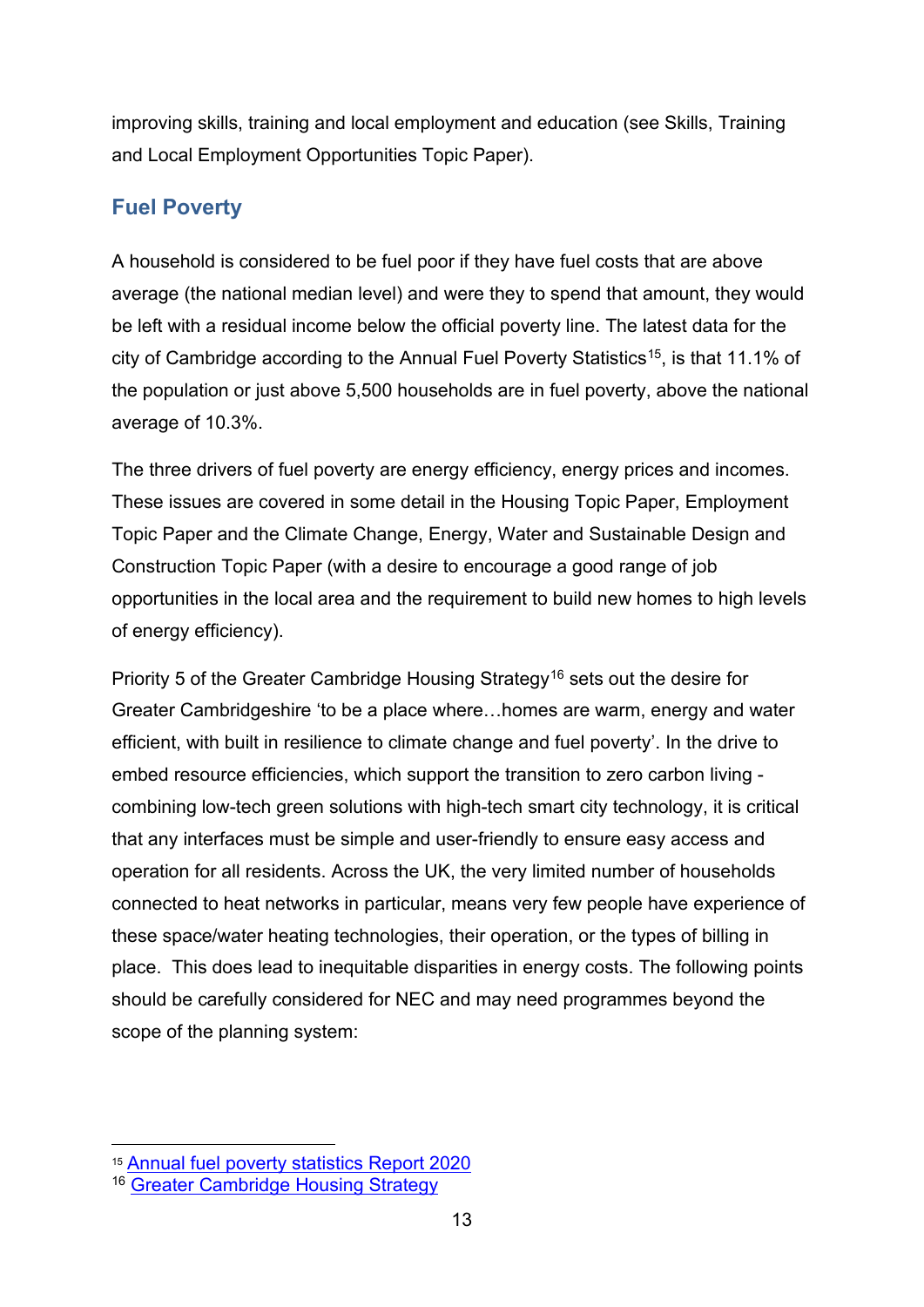improving skills, training and local employment and education (see Skills, Training and Local Employment Opportunities Topic Paper).

# <span id="page-12-0"></span>**Fuel Poverty**

A household is considered to be fuel poor if they have fuel costs that are above average (the national median level) and were they to spend that amount, they would be left with a residual income below the official poverty line. The latest data for the city of Cambridge according to the Annual Fuel Poverty Statistics<sup>[15](#page-12-1)</sup>, is that 11.1% of the population or just above 5,500 households are in fuel poverty, above the national average of 10.3%.

The three drivers of fuel poverty are energy efficiency, energy prices and incomes. These issues are covered in some detail in the Housing Topic Paper, Employment Topic Paper and the Climate Change, Energy, Water and Sustainable Design and Construction Topic Paper (with a desire to encourage a good range of job opportunities in the local area and the requirement to build new homes to high levels of energy efficiency).

Priority 5 of the Greater Cambridge Housing Strategy<sup>[16](#page-12-2)</sup> sets out the desire for Greater Cambridgeshire 'to be a place where…homes are warm, energy and water efficient, with built in resilience to climate change and fuel poverty'. In the drive to embed resource efficiencies, which support the transition to zero carbon living combining low-tech green solutions with high-tech smart city technology, it is critical that any interfaces must be simple and user-friendly to ensure easy access and operation for all residents. Across the UK, the very limited number of households connected to heat networks in particular, means very few people have experience of these space/water heating technologies, their operation, or the types of billing in place. This does lead to inequitable disparities in energy costs. The following points should be carefully considered for NEC and may need programmes beyond the scope of the planning system:

<span id="page-12-1"></span><sup>15</sup> [Annual fuel poverty statistics Report 2020](https://www.gov.uk/government/statistics/annual-fuel-poverty-statistics-report-2020)

<span id="page-12-2"></span><sup>16</sup> [Greater Cambridge Housing Strategy](https://www.scambs.gov.uk/media/16553/greater-cambridge-housing-strategy-2019-2023.pdf)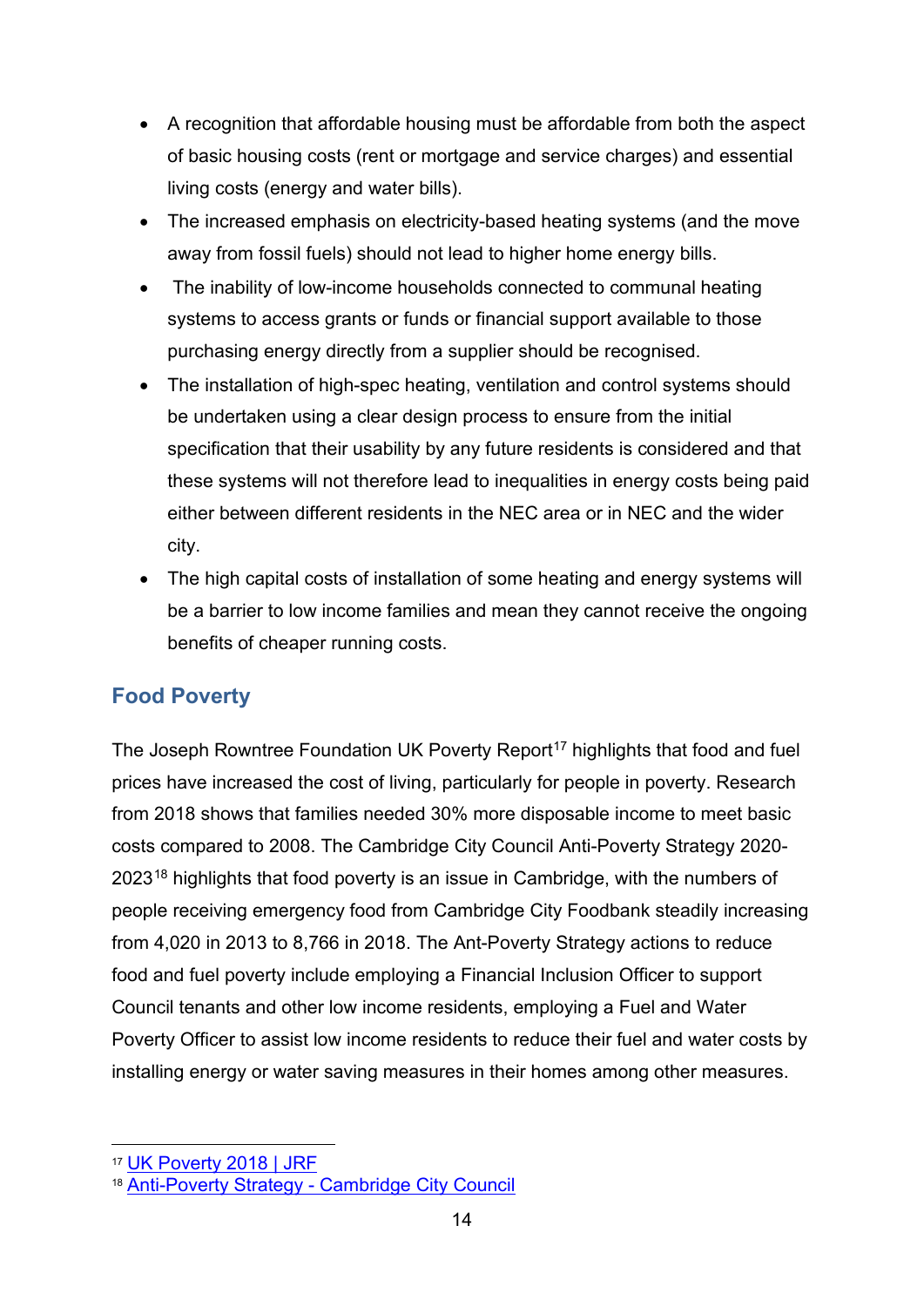- A recognition that affordable housing must be affordable from both the aspect of basic housing costs (rent or mortgage and service charges) and essential living costs (energy and water bills).
- The increased emphasis on electricity-based heating systems (and the move away from fossil fuels) should not lead to higher home energy bills.
- The inability of low-income households connected to communal heating systems to access grants or funds or financial support available to those purchasing energy directly from a supplier should be recognised.
- The installation of high-spec heating, ventilation and control systems should be undertaken using a clear design process to ensure from the initial specification that their usability by any future residents is considered and that these systems will not therefore lead to inequalities in energy costs being paid either between different residents in the NEC area or in NEC and the wider city.
- The high capital costs of installation of some heating and energy systems will be a barrier to low income families and mean they cannot receive the ongoing benefits of cheaper running costs.

#### <span id="page-13-0"></span>**Food Poverty**

The Joseph Rowntree Foundation UK Poverty Report<sup>[17](#page-13-1)</sup> highlights that food and fuel prices have increased the cost of living, particularly for people in poverty. Research from 2018 shows that families needed 30% more disposable income to meet basic costs compared to 2008. The Cambridge City Council Anti-Poverty Strategy 2020- 2023[18](#page-13-2) highlights that food poverty is an issue in Cambridge, with the numbers of people receiving emergency food from Cambridge City Foodbank steadily increasing from 4,020 in 2013 to 8,766 in 2018. The Ant-Poverty Strategy actions to reduce food and fuel poverty include employing a Financial Inclusion Officer to support Council tenants and other low income residents, employing a Fuel and Water Poverty Officer to assist low income residents to reduce their fuel and water costs by installing energy or water saving measures in their homes among other measures.

<span id="page-13-1"></span><sup>17</sup> [UK Poverty 2018 | JRF](https://www.jrf.org.uk/report/uk-poverty-2018)

<span id="page-13-2"></span><sup>18</sup> Anti-Poverty Strategy - [Cambridge City Council](https://www.cambridge.gov.uk/anti-poverty-strategy)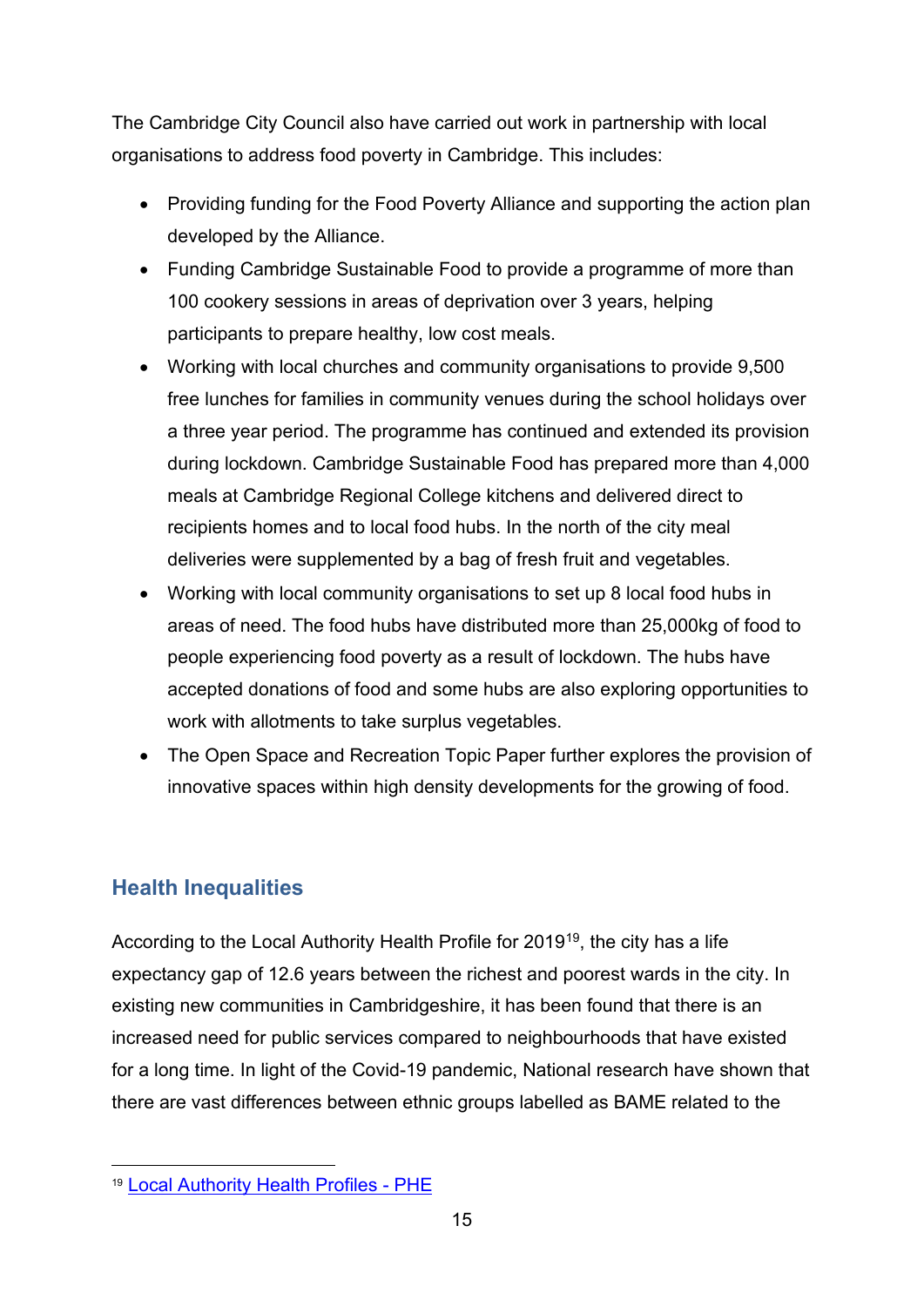The Cambridge City Council also have carried out work in partnership with local organisations to address food poverty in Cambridge. This includes:

- Providing funding for the Food Poverty Alliance and supporting the action plan developed by the Alliance.
- Funding Cambridge Sustainable Food to provide a programme of more than 100 cookery sessions in areas of deprivation over 3 years, helping participants to prepare healthy, low cost meals.
- Working with local churches and community organisations to provide 9,500 free lunches for families in community venues during the school holidays over a three year period. The programme has continued and extended its provision during lockdown. Cambridge Sustainable Food has prepared more than 4,000 meals at Cambridge Regional College kitchens and delivered direct to recipients homes and to local food hubs. In the north of the city meal deliveries were supplemented by a bag of fresh fruit and vegetables.
- Working with local community organisations to set up 8 local food hubs in areas of need. The food hubs have distributed more than 25,000kg of food to people experiencing food poverty as a result of lockdown. The hubs have accepted donations of food and some hubs are also exploring opportunities to work with allotments to take surplus vegetables.
- The Open Space and Recreation Topic Paper further explores the provision of innovative spaces within high density developments for the growing of food.

# <span id="page-14-0"></span>**Health Inequalities**

According to the Local Authority Health Profile for 2019[19,](#page-14-1) the city has a life expectancy gap of 12.6 years between the richest and poorest wards in the city. In existing new communities in Cambridgeshire, it has been found that there is an increased need for public services compared to neighbourhoods that have existed for a long time. In light of the Covid-19 pandemic, National research have shown that there are vast differences between ethnic groups labelled as BAME related to the

<span id="page-14-1"></span><sup>19</sup> [Local Authority Health Profiles -](https://fingertips.phe.org.uk/profile/health-profiles) PHE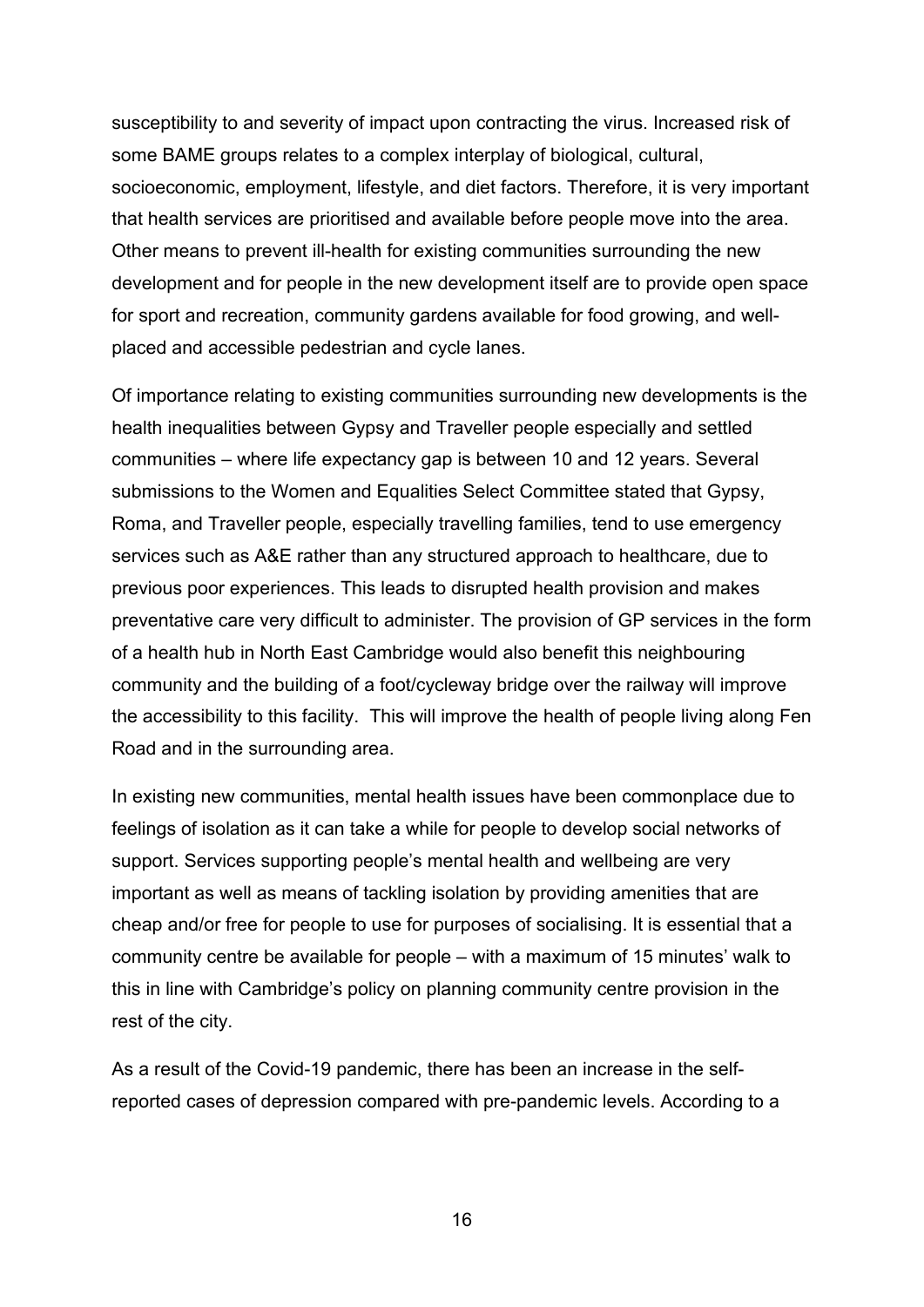susceptibility to and severity of impact upon contracting the virus. Increased risk of some BAME groups relates to a complex interplay of biological, cultural, socioeconomic, employment, lifestyle, and diet factors. Therefore, it is very important that health services are prioritised and available before people move into the area. Other means to prevent ill-health for existing communities surrounding the new development and for people in the new development itself are to provide open space for sport and recreation, community gardens available for food growing, and wellplaced and accessible pedestrian and cycle lanes.

Of importance relating to existing communities surrounding new developments is the health inequalities between Gypsy and Traveller people especially and settled communities – where life expectancy gap is between 10 and 12 years. Several submissions to the Women and Equalities Select Committee stated that Gypsy, Roma, and Traveller people, especially travelling families, tend to use emergency services such as A&E rather than any structured approach to healthcare, due to previous poor experiences. This leads to disrupted health provision and makes preventative care very difficult to administer. The provision of GP services in the form of a health hub in North East Cambridge would also benefit this neighbouring community and the building of a foot/cycleway bridge over the railway will improve the accessibility to this facility. This will improve the health of people living along Fen Road and in the surrounding area.

In existing new communities, mental health issues have been commonplace due to feelings of isolation as it can take a while for people to develop social networks of support. Services supporting people's mental health and wellbeing are very important as well as means of tackling isolation by providing amenities that are cheap and/or free for people to use for purposes of socialising. It is essential that a community centre be available for people – with a maximum of 15 minutes' walk to this in line with Cambridge's policy on planning community centre provision in the rest of the city.

As a result of the Covid-19 pandemic, there has been an increase in the selfreported cases of depression compared with pre-pandemic levels. According to a

16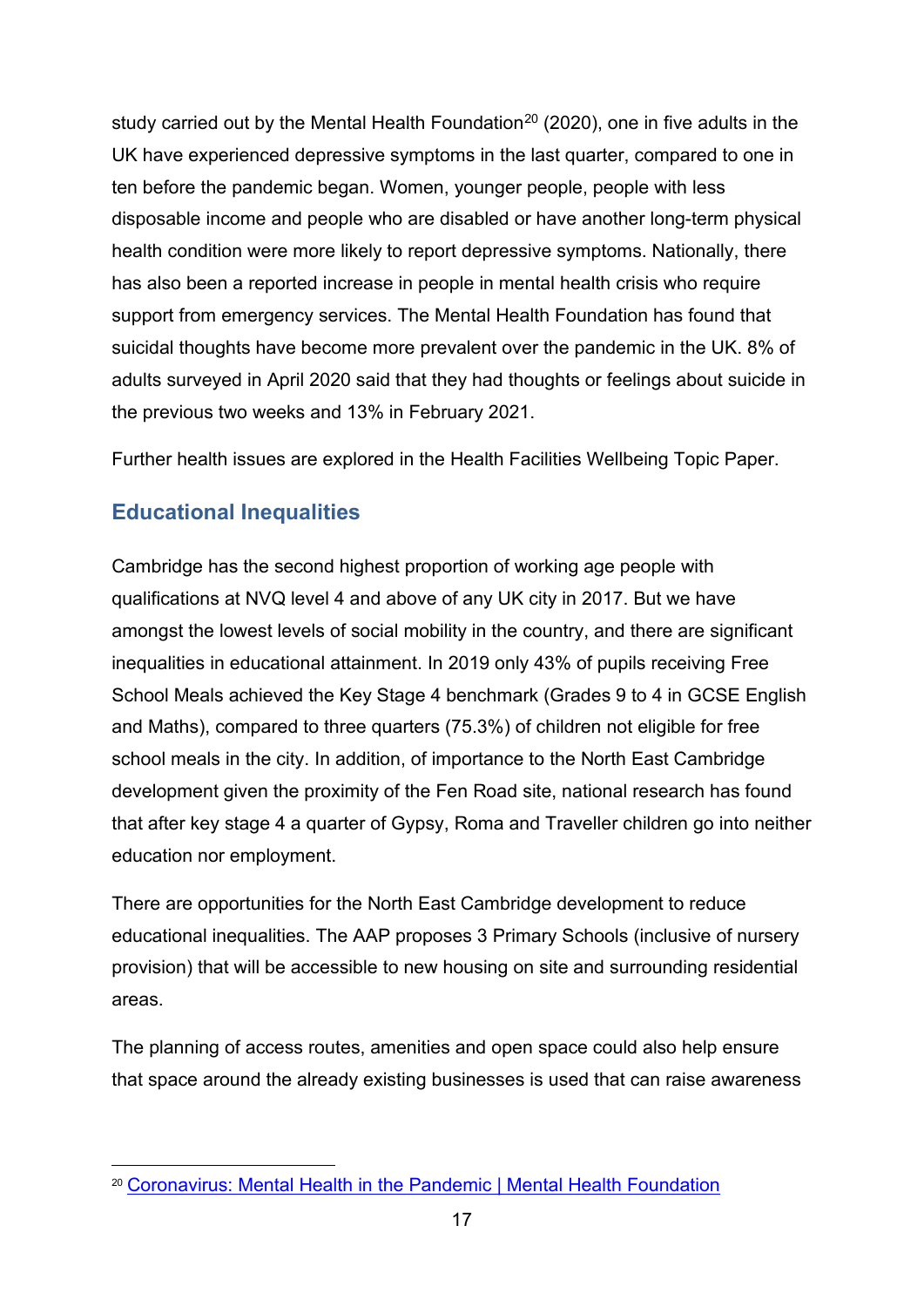study carried out by the Mental Health Foundation<sup>[20](#page-16-1)</sup> (2020), one in five adults in the UK have experienced depressive symptoms in the last quarter, compared to one in ten before the pandemic began. Women, younger people, people with less disposable income and people who are disabled or have another long-term physical health condition were more likely to report depressive symptoms. Nationally, there has also been a reported increase in people in mental health crisis who require support from emergency services. The Mental Health Foundation has found that suicidal thoughts have become more prevalent over the pandemic in the UK. 8% of adults surveyed in April 2020 said that they had thoughts or feelings about suicide in the previous two weeks and 13% in February 2021.

Further health issues are explored in the Health Facilities Wellbeing Topic Paper.

# <span id="page-16-0"></span>**Educational Inequalities**

Cambridge has the second highest proportion of working age people with qualifications at NVQ level 4 and above of any UK city in 2017. But we have amongst the lowest levels of social mobility in the country, and there are significant inequalities in educational attainment. In 2019 only 43% of pupils receiving Free School Meals achieved the Key Stage 4 benchmark (Grades 9 to 4 in GCSE English and Maths), compared to three quarters (75.3%) of children not eligible for free school meals in the city. In addition, of importance to the North East Cambridge development given the proximity of the Fen Road site, national research has found that after key stage 4 a quarter of Gypsy, Roma and Traveller children go into neither education nor employment.

There are opportunities for the North East Cambridge development to reduce educational inequalities. The AAP proposes 3 Primary Schools (inclusive of nursery provision) that will be accessible to new housing on site and surrounding residential areas.

The planning of access routes, amenities and open space could also help ensure that space around the already existing businesses is used that can raise awareness

<span id="page-16-1"></span><sup>20</sup> [Coronavirus: Mental Health in the Pandemic | Mental Health Foundation](https://www.mentalhealth.org.uk/our-work/research/coronavirus-mental-health-pandemic)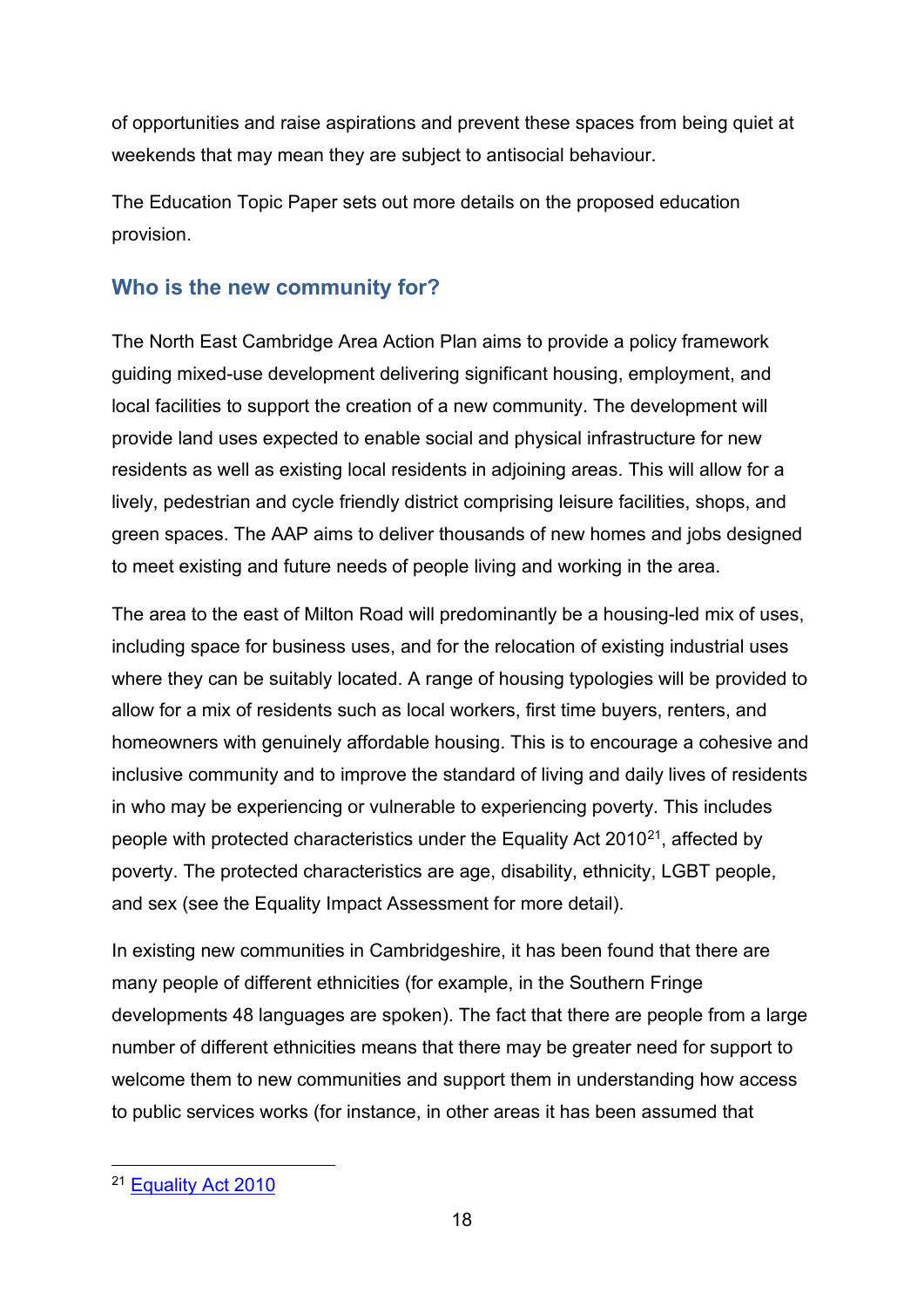of opportunities and raise aspirations and prevent these spaces from being quiet at weekends that may mean they are subject to antisocial behaviour.

The Education Topic Paper sets out more details on the proposed education provision.

# <span id="page-17-0"></span>**Who is the new community for?**

The North East Cambridge Area Action Plan aims to provide a policy framework guiding mixed-use development delivering significant housing, employment, and local facilities to support the creation of a new community. The development will provide land uses expected to enable social and physical infrastructure for new residents as well as existing local residents in adjoining areas. This will allow for a lively, pedestrian and cycle friendly district comprising leisure facilities, shops, and green spaces. The AAP aims to deliver thousands of new homes and jobs designed to meet existing and future needs of people living and working in the area.

The area to the east of Milton Road will predominantly be a housing-led mix of uses, including space for business uses, and for the relocation of existing industrial uses where they can be suitably located. A range of housing typologies will be provided to allow for a mix of residents such as local workers, first time buyers, renters, and homeowners with genuinely affordable housing. This is to encourage a cohesive and inclusive community and to improve the standard of living and daily lives of residents in who may be experiencing or vulnerable to experiencing poverty. This includes people with protected characteristics under the Equality Act  $2010^{21}$  $2010^{21}$  $2010^{21}$ , affected by poverty. The protected characteristics are age, disability, ethnicity, LGBT people, and sex (see the Equality Impact Assessment for more detail).

In existing new communities in Cambridgeshire, it has been found that there are many people of different ethnicities (for example, in the Southern Fringe developments 48 languages are spoken). The fact that there are people from a large number of different ethnicities means that there may be greater need for support to welcome them to new communities and support them in understanding how access to public services works (for instance, in other areas it has been assumed that

<span id="page-17-1"></span><sup>21</sup> [Equality Act 2010](https://www.legislation.gov.uk/ukpga/2010/15/contents)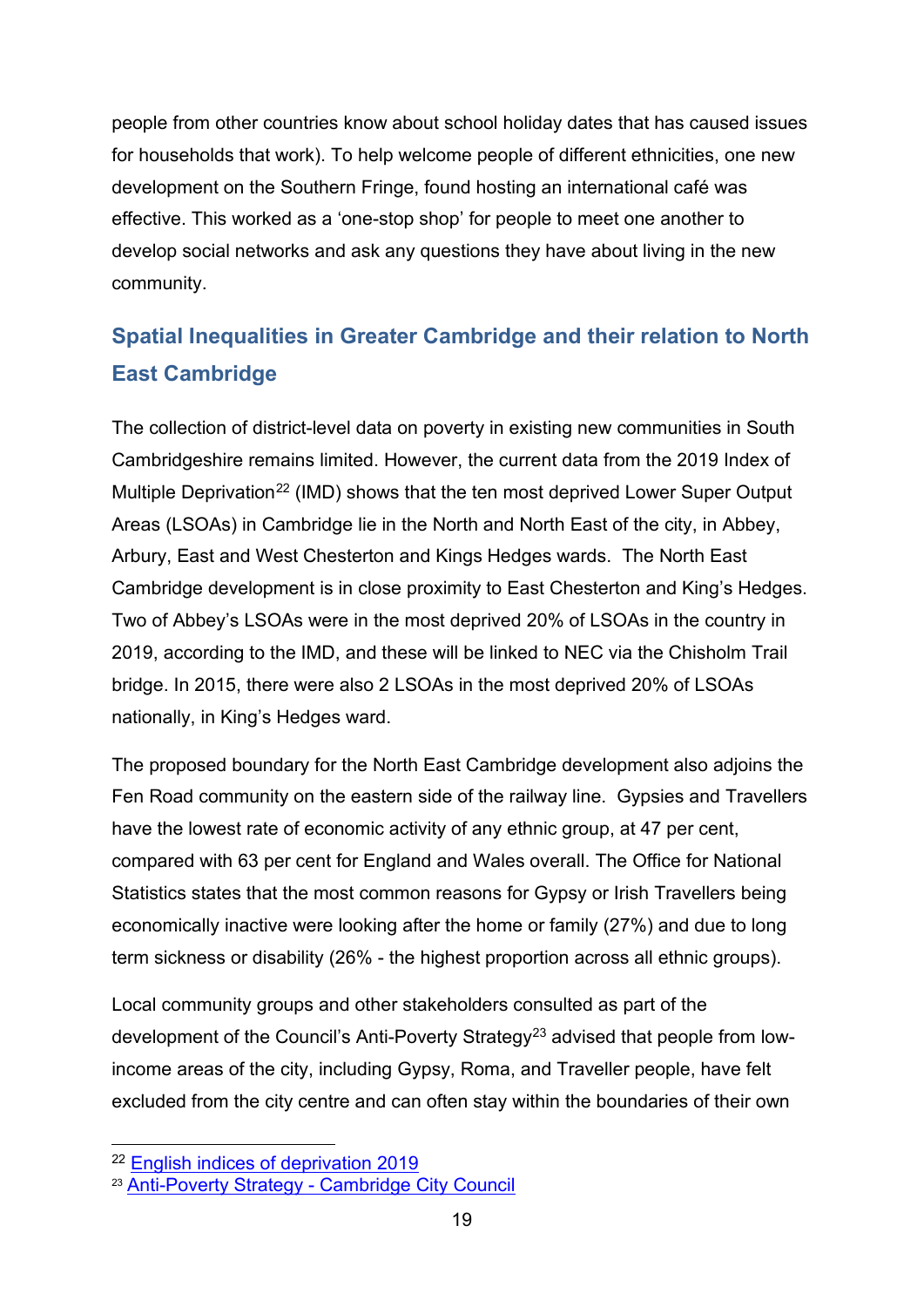people from other countries know about school holiday dates that has caused issues for households that work). To help welcome people of different ethnicities, one new development on the Southern Fringe, found hosting an international café was effective. This worked as a 'one-stop shop' for people to meet one another to develop social networks and ask any questions they have about living in the new community.

# <span id="page-18-0"></span>**Spatial Inequalities in Greater Cambridge and their relation to North East Cambridge**

The collection of district-level data on poverty in existing new communities in South Cambridgeshire remains limited. However, the current data from the 2019 Index of Multiple Deprivation<sup>[22](#page-18-1)</sup> (IMD) shows that the ten most deprived Lower Super Output Areas (LSOAs) in Cambridge lie in the North and North East of the city, in Abbey, Arbury, East and West Chesterton and Kings Hedges wards. The North East Cambridge development is in close proximity to East Chesterton and King's Hedges. Two of Abbey's LSOAs were in the most deprived 20% of LSOAs in the country in 2019, according to the IMD, and these will be linked to NEC via the Chisholm Trail bridge. In 2015, there were also 2 LSOAs in the most deprived 20% of LSOAs nationally, in King's Hedges ward.

The proposed boundary for the North East Cambridge development also adjoins the Fen Road community on the eastern side of the railway line. Gypsies and Travellers have the lowest rate of economic activity of any ethnic group, at 47 per cent, compared with 63 per cent for England and Wales overall. The Office for National Statistics states that the most common reasons for Gypsy or Irish Travellers being economically inactive were looking after the home or family (27%) and due to long term sickness or disability (26% - the highest proportion across all ethnic groups).

Local community groups and other stakeholders consulted as part of the development of the Council's Anti-Poverty Strategy<sup>[23](#page-18-2)</sup> advised that people from lowincome areas of the city, including Gypsy, Roma, and Traveller people, have felt excluded from the city centre and can often stay within the boundaries of their own

<span id="page-18-1"></span><sup>22</sup> [English indices of deprivation 2019](https://www.gov.uk/government/statistics/english-indices-of-deprivation-2019)

<span id="page-18-2"></span><sup>23</sup> Anti-Poverty Strategy - [Cambridge City Council](https://www.cambridge.gov.uk/anti-poverty-strategy)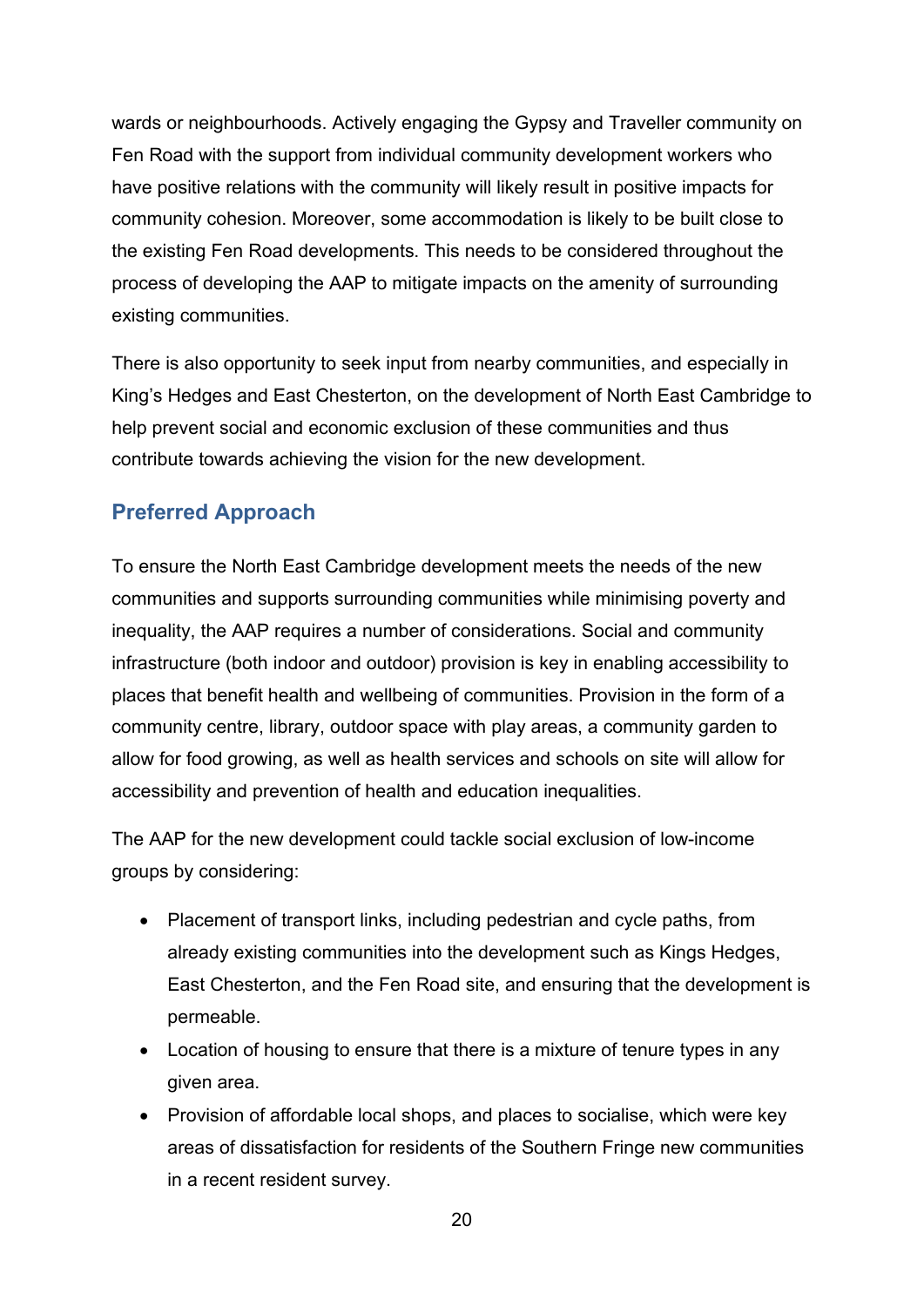wards or neighbourhoods. Actively engaging the Gypsy and Traveller community on Fen Road with the support from individual community development workers who have positive relations with the community will likely result in positive impacts for community cohesion. Moreover, some accommodation is likely to be built close to the existing Fen Road developments. This needs to be considered throughout the process of developing the AAP to mitigate impacts on the amenity of surrounding existing communities.

There is also opportunity to seek input from nearby communities, and especially in King's Hedges and East Chesterton, on the development of North East Cambridge to help prevent social and economic exclusion of these communities and thus contribute towards achieving the vision for the new development.

# <span id="page-19-0"></span>**Preferred Approach**

To ensure the North East Cambridge development meets the needs of the new communities and supports surrounding communities while minimising poverty and inequality, the AAP requires a number of considerations. Social and community infrastructure (both indoor and outdoor) provision is key in enabling accessibility to places that benefit health and wellbeing of communities. Provision in the form of a community centre, library, outdoor space with play areas, a community garden to allow for food growing, as well as health services and schools on site will allow for accessibility and prevention of health and education inequalities.

The AAP for the new development could tackle social exclusion of low-income groups by considering:

- Placement of transport links, including pedestrian and cycle paths, from already existing communities into the development such as Kings Hedges, East Chesterton, and the Fen Road site, and ensuring that the development is permeable.
- Location of housing to ensure that there is a mixture of tenure types in any given area.
- Provision of affordable local shops, and places to socialise, which were key areas of dissatisfaction for residents of the Southern Fringe new communities in a recent resident survey.